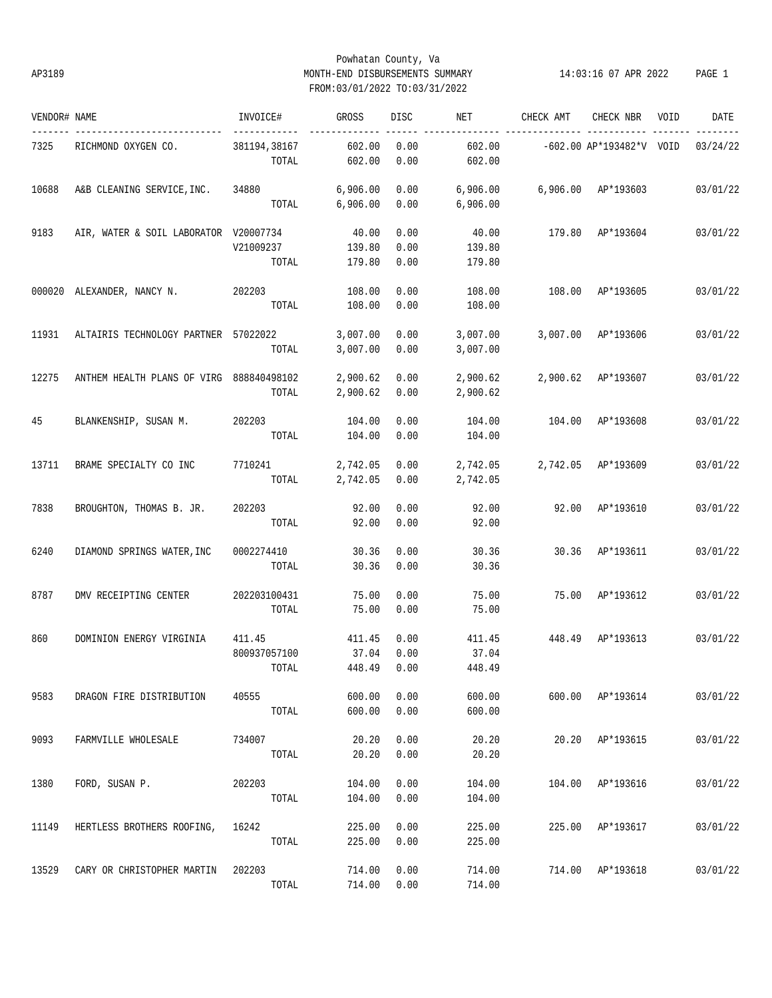# Powhatan County, Va AP3189 MONTH-END DISBURSEMENTS SUMMARY 14:03:16 07 APR 2022 PAGE 1 FROM:03/01/2022 TO:03/31/2022

| VENDOR# NAME |                                          | INVOICE#              | GROSS                | DISC         | NET                  | CHECK AMT | CHECK NBR                                 | VOID | DATE     |
|--------------|------------------------------------------|-----------------------|----------------------|--------------|----------------------|-----------|-------------------------------------------|------|----------|
| 7325         | RICHMOND OXYGEN CO.                      | 381194,38167<br>TOTAL | 602.00<br>602.00     | 0.00<br>0.00 | 602.00<br>602.00     |           | $-602.00 \text{ AP*}193482*V \text{ VOD}$ |      | 03/24/22 |
|              |                                          |                       |                      |              |                      |           |                                           |      |          |
| 10688        | A&B CLEANING SERVICE, INC. 34880         |                       | 6,906.00             | 0.00         | 6,906.00             |           | 6,906.00 AP*193603                        |      | 03/01/22 |
|              |                                          | TOTAL                 | 6,906.00             | 0.00         | 6,906.00             |           |                                           |      |          |
| 9183         | AIR, WATER & SOIL LABORATOR V20007734    |                       | 40.00                | 0.00         | 40.00                |           | 179.80 AP*193604                          |      | 03/01/22 |
|              |                                          | V21009237             | 139.80               | 0.00         | 139.80               |           |                                           |      |          |
|              |                                          | TOTAL                 | 179.80               | 0.00         | 179.80               |           |                                           |      |          |
|              | 000020 ALEXANDER, NANCY N.               | 202203                | 108.00               | 0.00         | 108.00               | 108.00    | AP*193605                                 |      | 03/01/22 |
|              |                                          | TOTAL                 | 108.00               | 0.00         | 108.00               |           |                                           |      |          |
| 11931        | ALTAIRIS TECHNOLOGY PARTNER 57022022     |                       | 3,007.00             | 0.00         | 3,007.00             |           | 3,007.00 AP*193606                        |      | 03/01/22 |
|              |                                          | TOTAL                 | 3,007.00             | 0.00         | 3,007.00             |           |                                           |      |          |
| 12275        | ANTHEM HEALTH PLANS OF VIRG 888840498102 |                       | 2,900.62             | 0.00         | 2,900.62             |           | 2,900.62 AP*193607                        |      | 03/01/22 |
|              |                                          | TOTAL                 | 2,900.62             | 0.00         | 2,900.62             |           |                                           |      |          |
| 45           | BLANKENSHIP, SUSAN M.                    | 202203                | 104.00               | 0.00         | 104.00               |           | 104.00 AP*193608                          |      | 03/01/22 |
|              |                                          | TOTAL                 | 104.00               | 0.00         | 104.00               |           |                                           |      |          |
| 13711        | BRAME SPECIALTY CO INC                   | 7710241               |                      | 0.00         |                      |           | 2,742.05 AP*193609                        |      | 03/01/22 |
|              |                                          | TOTAL                 | 2,742.05<br>2,742.05 | 0.00         | 2,742.05<br>2,742.05 |           |                                           |      |          |
|              |                                          |                       |                      |              |                      |           |                                           |      |          |
| 7838         | BROUGHTON, THOMAS B. JR.                 | 202203<br>TOTAL       | 92.00<br>92.00       | 0.00<br>0.00 | 92.00<br>92.00       |           | 92.00 AP*193610                           |      | 03/01/22 |
|              |                                          |                       |                      |              |                      |           |                                           |      |          |
| 6240         | DIAMOND SPRINGS WATER, INC               | 0002274410            | 30.36                | 0.00         | 30.36                |           | 30.36 AP*193611                           |      | 03/01/22 |
|              |                                          | TOTAL                 | 30.36                | 0.00         | 30.36                |           |                                           |      |          |
| 8787         | DMV RECEIPTING CENTER                    | 202203100431          | 75.00                | 0.00         | 75.00                |           | 75.00 AP*193612                           |      | 03/01/22 |
|              |                                          | TOTAL                 | 75.00                | 0.00         | 75.00                |           |                                           |      |          |
| 860          | DOMINION ENERGY VIRGINIA                 | 411.45                | 411.45               | 0.00         | 411.45               | 448.49    | AP*193613                                 |      | 03/01/22 |
|              |                                          | 800937057100          | 37.04                | 0.00         | 37.04                |           |                                           |      |          |
|              |                                          | TOTAL                 | 448.49               | 0.00         | 448.49               |           |                                           |      |          |
| 9583         | DRAGON FIRE DISTRIBUTION                 | 40555                 | 600.00               | 0.00         | 600.00               |           | 600.00 AP*193614                          |      | 03/01/22 |
|              |                                          | TOTAL                 | 600.00               | 0.00         | 600.00               |           |                                           |      |          |
| 9093         | FARMVILLE WHOLESALE                      | 734007                | 20.20                | 0.00         | 20.20                |           | 20.20 AP*193615                           |      | 03/01/22 |
|              |                                          | TOTAL                 | 20.20                | 0.00         | 20.20                |           |                                           |      |          |
| 1380         | FORD, SUSAN P.                           | 202203                | 104.00               | 0.00         | 104.00               |           | 104.00 AP*193616                          |      | 03/01/22 |
|              |                                          | TOTAL                 | 104.00               | 0.00         | 104.00               |           |                                           |      |          |
| 11149        | HERTLESS BROTHERS ROOFING,               | 16242                 | 225.00               | 0.00         | 225.00               |           | 225.00 AP*193617                          |      | 03/01/22 |
|              |                                          | TOTAL                 | 225.00               | 0.00         | 225.00               |           |                                           |      |          |
| 13529        | CARY OR CHRISTOPHER MARTIN               | 202203                | 714.00               | 0.00         | 714.00               |           | 714.00 AP*193618                          |      | 03/01/22 |
|              |                                          | TOTAL                 | 714.00               | 0.00         | 714.00               |           |                                           |      |          |
|              |                                          |                       |                      |              |                      |           |                                           |      |          |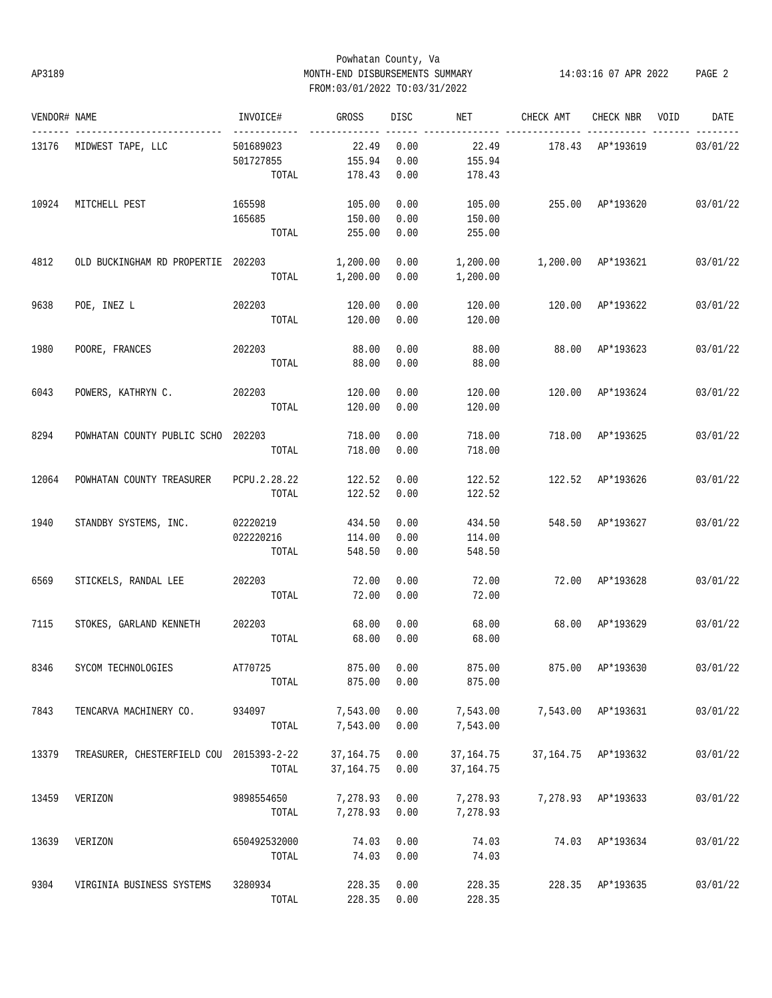# Powhatan County, Va AP3189 MONTH-END DISBURSEMENTS SUMMARY 14:03:16 07 APR 2022 PAGE 2 FROM:03/01/2022 TO:03/31/2022

| VENDOR# NAME |                             | INVOICE#     | GROSS       | DISC | NET         | CHECK AMT | CHECK NBR           | VOID | DATE     |
|--------------|-----------------------------|--------------|-------------|------|-------------|-----------|---------------------|------|----------|
| 13176        | MIDWEST TAPE, LLC           | 501689023    | 22.49       | 0.00 | 22.49       |           | 178.43 AP*193619    |      | 03/01/22 |
|              |                             | 501727855    | 155.94      | 0.00 | 155.94      |           |                     |      |          |
|              |                             | TOTAL        | 178.43      | 0.00 | 178.43      |           |                     |      |          |
| 10924        | MITCHELL PEST               | 165598       | 105.00      | 0.00 | 105.00      |           | 255.00 AP*193620    |      | 03/01/22 |
|              |                             | 165685       | 150.00      | 0.00 | 150.00      |           |                     |      |          |
|              |                             | TOTAL        | 255.00      | 0.00 | 255.00      |           |                     |      |          |
| 4812         | OLD BUCKINGHAM RD PROPERTIE | 202203       | 1,200.00    | 0.00 | 1,200.00    |           | 1,200.00 AP*193621  |      | 03/01/22 |
|              |                             | TOTAL        | 1,200.00    | 0.00 | 1,200.00    |           |                     |      |          |
| 9638         | POE, INEZ L                 | 202203       | 120.00      | 0.00 | 120.00      | 120.00    | AP*193622           |      | 03/01/22 |
|              |                             | TOTAL        | 120.00      | 0.00 | 120.00      |           |                     |      |          |
| 1980         | POORE, FRANCES              | 202203       | 88.00       | 0.00 | 88.00       | 88.00     | AP*193623           |      | 03/01/22 |
|              |                             | TOTAL        | 88.00       | 0.00 | 88.00       |           |                     |      |          |
| 6043         | POWERS, KATHRYN C.          | 202203       | 120.00      | 0.00 | 120.00      | 120.00    | AP*193624           |      | 03/01/22 |
|              |                             | TOTAL        | 120.00      | 0.00 | 120.00      |           |                     |      |          |
| 8294         | POWHATAN COUNTY PUBLIC SCHO | 202203       | 718.00      | 0.00 | 718.00      | 718.00    | AP*193625           |      | 03/01/22 |
|              |                             | TOTAL        | 718.00      | 0.00 | 718.00      |           |                     |      |          |
| 12064        | POWHATAN COUNTY TREASURER   | PCPU.2.28.22 | 122.52      | 0.00 | 122.52      |           | 122.52 AP*193626    |      | 03/01/22 |
|              |                             | TOTAL        | 122.52      | 0.00 | 122.52      |           |                     |      |          |
| 1940         | STANDBY SYSTEMS, INC.       | 02220219     | 434.50      | 0.00 | 434.50      |           | 548.50 AP*193627    |      | 03/01/22 |
|              |                             | 022220216    | 114.00      | 0.00 | 114.00      |           |                     |      |          |
|              |                             | TOTAL        | 548.50      | 0.00 | 548.50      |           |                     |      |          |
| 6569         | STICKELS, RANDAL LEE        | 202203       | 72.00       | 0.00 | 72.00       |           | 72.00 AP*193628     |      | 03/01/22 |
|              |                             | TOTAL        | 72.00       | 0.00 | 72.00       |           |                     |      |          |
| 7115         | STOKES, GARLAND KENNETH     | 202203       | 68.00       | 0.00 | 68.00       | 68.00     | AP*193629           |      | 03/01/22 |
|              |                             | TOTAL        | 68.00       | 0.00 | 68.00       |           |                     |      |          |
| 8346         | SYCOM TECHNOLOGIES          | AT70725      | 875.00      | 0.00 | 875.00      | 875.00    | AP*193630           |      | 03/01/22 |
|              |                             | TOTAL        | 875.00      | 0.00 | 875.00      |           |                     |      |          |
| 7843         | TENCARVA MACHINERY CO.      | 934097       | 7,543.00    | 0.00 | 7,543.00    |           | 7,543.00 AP*193631  |      | 03/01/22 |
|              |                             | TOTAL        | 7,543.00    | 0.00 | 7,543.00    |           |                     |      |          |
| 13379        | TREASURER, CHESTERFIELD COU | 2015393-2-22 | 37, 164. 75 | 0.00 | 37, 164. 75 |           | 37,164.75 AP*193632 |      | 03/01/22 |
|              |                             | TOTAL        | 37, 164. 75 | 0.00 | 37, 164. 75 |           |                     |      |          |
| 13459        | VERIZON                     | 9898554650   | 7,278.93    | 0.00 | 7,278.93    | 7,278.93  | AP*193633           |      | 03/01/22 |
|              |                             | TOTAL        | 7,278.93    | 0.00 | 7,278.93    |           |                     |      |          |
| 13639        | VERIZON                     | 650492532000 | 74.03       | 0.00 | 74.03       | 74.03     | AP*193634           |      | 03/01/22 |
|              |                             | TOTAL        | 74.03       | 0.00 | 74.03       |           |                     |      |          |
| 9304         | VIRGINIA BUSINESS SYSTEMS   | 3280934      | 228.35      | 0.00 | 228.35      |           | 228.35 AP*193635    |      | 03/01/22 |
|              |                             | TOTAL        | 228.35      | 0.00 | 228.35      |           |                     |      |          |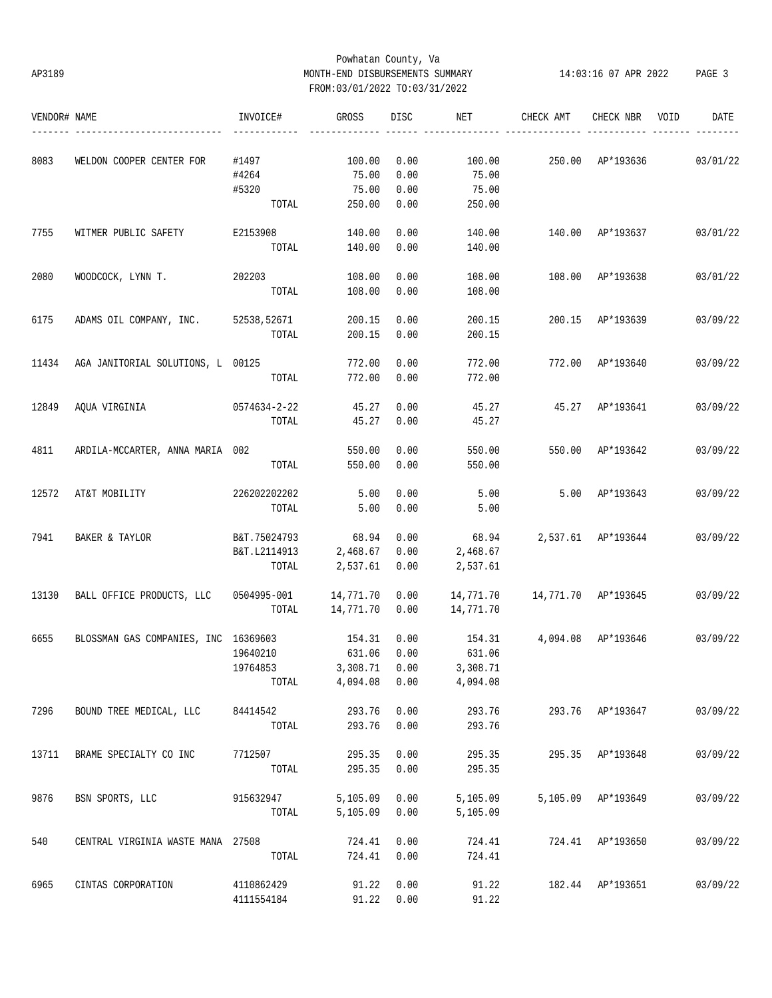# Powhatan County, Va AP3189 MONTH-END DISBURSEMENTS SUMMARY 14:03:16 07 APR 2022 PAGE 3 FROM:03/01/2022 TO:03/31/2022

| VENDOR# NAME |                                             | INVOICE#     | GROSS     | DISC | NET       | CHECK AMT           | CHECK NBR          | VOID | DATE     |
|--------------|---------------------------------------------|--------------|-----------|------|-----------|---------------------|--------------------|------|----------|
| 8083         | WELDON COOPER CENTER FOR                    | #1497        | 100.00    | 0.00 | 100.00    |                     | 250.00 AP*193636   |      | 03/01/22 |
|              |                                             | #4264        | 75.00     | 0.00 | 75.00     |                     |                    |      |          |
|              |                                             | #5320        | 75.00     | 0.00 | 75.00     |                     |                    |      |          |
|              |                                             | TOTAL        | 250.00    | 0.00 | 250.00    |                     |                    |      |          |
| 7755         | WITMER PUBLIC SAFETY                        | E2153908     | 140.00    | 0.00 | 140.00    |                     | 140.00 AP*193637   |      | 03/01/22 |
|              |                                             | TOTAL        | 140.00    | 0.00 | 140.00    |                     |                    |      |          |
| 2080         | WOODCOCK, LYNN T.                           | 202203       | 108.00    | 0.00 | 108.00    | 108.00              | AP*193638          |      | 03/01/22 |
|              |                                             | TOTAL        | 108.00    | 0.00 | 108.00    |                     |                    |      |          |
| 6175         | ADAMS OIL COMPANY, INC. 52538,52671         |              | 200.15    | 0.00 | 200.15    | 200.15              | AP*193639          |      | 03/09/22 |
|              |                                             | TOTAL        | 200.15    | 0.00 | 200.15    |                     |                    |      |          |
| 11434        | AGA JANITORIAL SOLUTIONS, L 00125           |              | 772.00    | 0.00 | 772.00    |                     | 772.00 AP*193640   |      | 03/09/22 |
|              |                                             | TOTAL        | 772.00    | 0.00 | 772.00    |                     |                    |      |          |
| 12849        | AQUA VIRGINIA                               | 0574634-2-22 | 45.27     | 0.00 | 45.27     |                     | 45.27 AP*193641    |      | 03/09/22 |
|              |                                             | TOTAL        | 45.27     | 0.00 | 45.27     |                     |                    |      |          |
| 4811         | ARDILA-MCCARTER, ANNA MARIA 002             |              | 550.00    | 0.00 | 550.00    |                     | 550.00 AP*193642   |      | 03/09/22 |
|              |                                             | TOTAL        | 550.00    | 0.00 | 550.00    |                     |                    |      |          |
| 12572        | AT&T MOBILITY                               | 226202202202 | 5.00      | 0.00 | 5.00      |                     | 5.00 AP*193643     |      | 03/09/22 |
|              |                                             | TOTAL        | 5.00      | 0.00 | 5.00      |                     |                    |      |          |
| 7941         | BAKER & TAYLOR                              | B&T.75024793 | 68.94     | 0.00 | 68.94     | 2,537.61 AP*193644  |                    |      | 03/09/22 |
|              |                                             | B&T.L2114913 | 2,468.67  | 0.00 | 2,468.67  |                     |                    |      |          |
|              |                                             | TOTAL        | 2,537.61  | 0.00 | 2,537.61  |                     |                    |      |          |
| 13130        | BALL OFFICE PRODUCTS, LLC                   | 0504995-001  | 14,771.70 | 0.00 | 14,771.70 | 14,771.70 AP*193645 |                    |      | 03/09/22 |
|              |                                             | TOTAL        | 14,771.70 | 0.00 | 14,771.70 |                     |                    |      |          |
| 6655         | BLOSSMAN GAS COMPANIES, INC 16369603 154.31 |              |           | 0.00 | 154.31    | 4,094.08 AP*193646  |                    |      | 03/09/22 |
|              |                                             | 19640210     | 631.06    | 0.00 | 631.06    |                     |                    |      |          |
|              |                                             | 19764853     | 3,308.71  | 0.00 | 3,308.71  |                     |                    |      |          |
|              |                                             | TOTAL        | 4,094.08  | 0.00 | 4,094.08  |                     |                    |      |          |
| 7296         | BOUND TREE MEDICAL, LLC                     | 84414542     | 293.76    | 0.00 | 293.76    |                     | 293.76 AP*193647   |      | 03/09/22 |
|              |                                             | TOTAL        | 293.76    | 0.00 | 293.76    |                     |                    |      |          |
| 13711        | BRAME SPECIALTY CO INC                      | 7712507      | 295.35    | 0.00 | 295.35    |                     | 295.35 AP*193648   |      | 03/09/22 |
|              |                                             | TOTAL        | 295.35    | 0.00 | 295.35    |                     |                    |      |          |
| 9876         | BSN SPORTS, LLC                             | 915632947    | 5,105.09  | 0.00 | 5,105.09  |                     | 5,105.09 AP*193649 |      | 03/09/22 |
|              |                                             | TOTAL        | 5,105.09  | 0.00 | 5,105.09  |                     |                    |      |          |
| 540          | CENTRAL VIRGINIA WASTE MANA 27508           |              | 724.41    | 0.00 | 724.41    |                     | 724.41 AP*193650   |      | 03/09/22 |
|              |                                             | TOTAL        | 724.41    | 0.00 | 724.41    |                     |                    |      |          |
| 6965         | CINTAS CORPORATION                          | 4110862429   | 91.22     | 0.00 | 91.22     |                     | 182.44 AP*193651   |      | 03/09/22 |
|              |                                             | 4111554184   | 91.22     | 0.00 | 91.22     |                     |                    |      |          |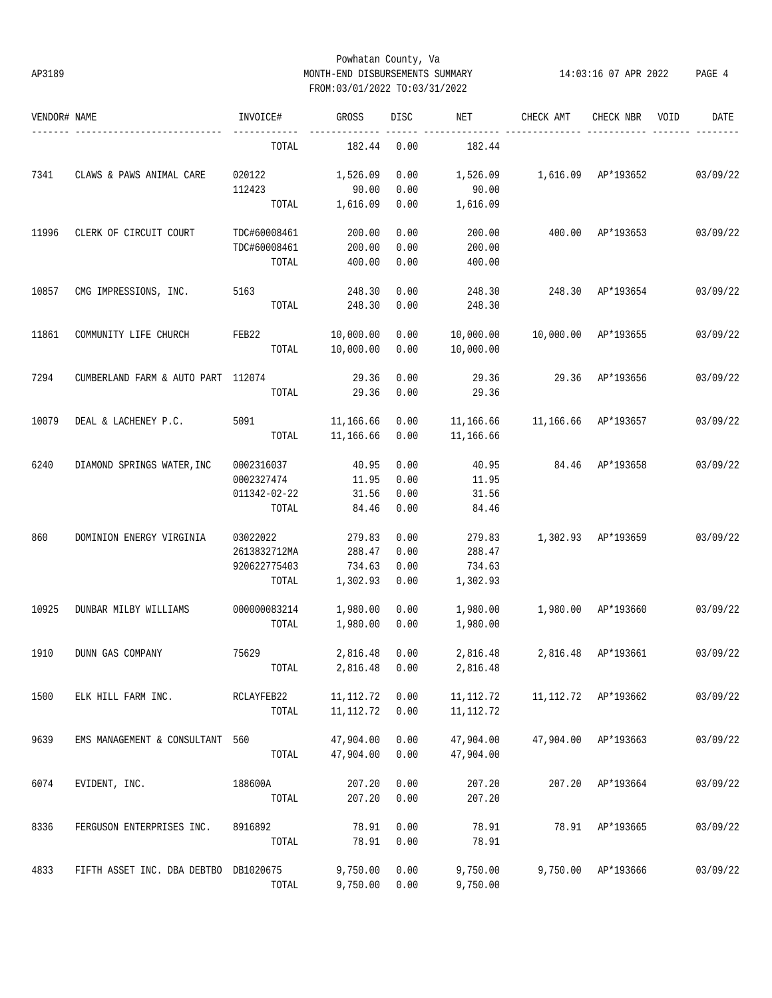# Powhatan County, Va AP3189 MONTH-END DISBURSEMENTS SUMMARY 14:03:16 07 APR 2022 PAGE 4 FROM:03/01/2022 TO:03/31/2022

| VENDOR# NAME |                                       | INVOICE#     | GROSS      | <b>DISC</b> | NET        | CHECK AMT           | CHECK NBR            | VOID | DATE     |
|--------------|---------------------------------------|--------------|------------|-------------|------------|---------------------|----------------------|------|----------|
|              |                                       | TOTAL        | 182.44     | 0.00        | 182.44     |                     |                      |      |          |
| 7341         | CLAWS & PAWS ANIMAL CARE              | 020122       | 1,526.09   | 0.00        | 1,526.09   | 1,616.09 AP*193652  |                      |      | 03/09/22 |
|              |                                       | 112423       | 90.00      | 0.00        | 90.00      |                     |                      |      |          |
|              |                                       | TOTAL        | 1,616.09   | 0.00        | 1,616.09   |                     |                      |      |          |
| 11996        | CLERK OF CIRCUIT COURT                | TDC#60008461 | 200.00     | 0.00        | 200.00     |                     | 400.00 AP*193653     |      | 03/09/22 |
|              |                                       | TDC#60008461 | 200.00     | 0.00        | 200.00     |                     |                      |      |          |
|              |                                       | TOTAL        | 400.00     | 0.00        | 400.00     |                     |                      |      |          |
| 10857        | CMG IMPRESSIONS, INC.                 | 5163         | 248.30     | 0.00        | 248.30     | 248.30              | AP*193654            |      | 03/09/22 |
|              |                                       | TOTAL        | 248.30     | 0.00        | 248.30     |                     |                      |      |          |
| 11861        | COMMUNITY LIFE CHURCH                 | FEB22        | 10,000.00  | 0.00        | 10,000.00  | 10,000.00 AP*193655 |                      |      | 03/09/22 |
|              |                                       | TOTAL        | 10,000.00  | 0.00        | 10,000.00  |                     |                      |      |          |
| 7294         | CUMBERLAND FARM & AUTO PART 112074    |              | 29.36      | 0.00        | 29.36      | 29.36               | AP*193656            |      | 03/09/22 |
|              |                                       | TOTAL        | 29.36      | 0.00        | 29.36      |                     |                      |      |          |
| 10079        | DEAL & LACHENEY P.C.                  | 5091         | 11,166.66  | 0.00        | 11,166.66  | 11,166.66 AP*193657 |                      |      | 03/09/22 |
|              |                                       | TOTAL        | 11,166.66  | 0.00        | 11,166.66  |                     |                      |      |          |
| 6240         | DIAMOND SPRINGS WATER, INC            | 0002316037   | 40.95      | 0.00        | 40.95      |                     | 84.46 AP*193658      |      | 03/09/22 |
|              |                                       | 0002327474   | 11.95      | 0.00        | 11.95      |                     |                      |      |          |
|              |                                       | 011342-02-22 | 31.56      | 0.00        | 31.56      |                     |                      |      |          |
|              |                                       | TOTAL        | 84.46      | 0.00        | 84.46      |                     |                      |      |          |
| 860          | DOMINION ENERGY VIRGINIA              | 03022022     | 279.83     | 0.00        | 279.83     | 1,302.93 AP*193659  |                      |      | 03/09/22 |
|              |                                       | 2613832712MA | 288.47     | 0.00        | 288.47     |                     |                      |      |          |
|              |                                       | 920622775403 | 734.63     | 0.00        | 734.63     |                     |                      |      |          |
|              |                                       | TOTAL        | 1,302.93   | 0.00        | 1,302.93   |                     |                      |      |          |
| 10925        | DUNBAR MILBY WILLIAMS                 | 000000083214 | 1,980.00   | 0.00        | 1,980.00   | 1,980.00 AP*193660  |                      |      | 03/09/22 |
|              |                                       | TOTAL        | 1,980.00   | 0.00        | 1,980.00   |                     |                      |      |          |
| 1910         | DUNN GAS COMPANY                      | 75629        | 2,816.48   | 0.00        | 2,816.48   |                     | 2,816.48 AP*193661   |      | 03/09/22 |
|              |                                       | TOTAL        | 2,816.48   | 0.00        | 2,816.48   |                     |                      |      |          |
| 1500         | ELK HILL FARM INC.                    | RCLAYFEB22   | 11, 112.72 | 0.00        | 11,112.72  |                     | 11, 112.72 AP*193662 |      | 03/09/22 |
|              |                                       | TOTAL        | 11, 112.72 | 0.00        | 11, 112.72 |                     |                      |      |          |
| 9639         | EMS MANAGEMENT & CONSULTANT           | 560          | 47,904.00  | 0.00        | 47,904.00  | 47,904.00           | AP*193663            |      | 03/09/22 |
|              |                                       | TOTAL        | 47,904.00  | 0.00        | 47,904.00  |                     |                      |      |          |
| 6074         | EVIDENT, INC.                         | 188600A      | 207.20     | 0.00        | 207.20     | 207.20              | AP*193664            |      | 03/09/22 |
|              |                                       | TOTAL        | 207.20     | 0.00        | 207.20     |                     |                      |      |          |
| 8336         | FERGUSON ENTERPRISES INC.             | 8916892      | 78.91      | 0.00        | 78.91      | 78.91               | AP*193665            |      | 03/09/22 |
|              |                                       | TOTAL        | 78.91      | 0.00        | 78.91      |                     |                      |      |          |
| 4833         | FIFTH ASSET INC. DBA DEBTBO DB1020675 |              | 9,750.00   | 0.00        | 9,750.00   | 9,750.00            | AP*193666            |      | 03/09/22 |
|              |                                       | TOTAL        | 9,750.00   | 0.00        | 9,750.00   |                     |                      |      |          |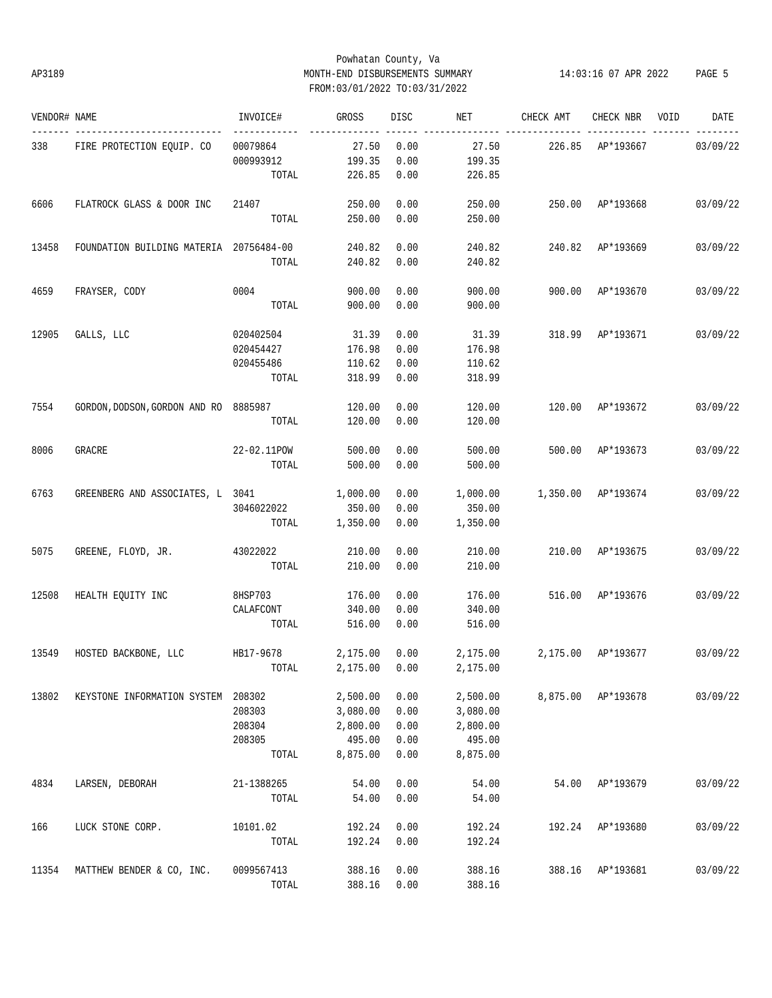# Powhatan County, Va AP3189 MONTH-END DISBURSEMENTS SUMMARY 14:03:16 07 APR 2022 PAGE 5 FROM:03/01/2022 TO:03/31/2022

| VENDOR# NAME |                                         | INVOICE#            | GROSS    | <b>DISC</b> | NET             | CHECK AMT          | CHECK NBR          | VOID | DATE     |
|--------------|-----------------------------------------|---------------------|----------|-------------|-----------------|--------------------|--------------------|------|----------|
| 338          | FIRE PROTECTION EQUIP. CO               | -------<br>00079864 | 27.50    | 0.00        | 27.50           | 226.85 AP*193667   |                    |      | 03/09/22 |
|              |                                         | 000993912           | 199.35   | 0.00        | 199.35          |                    |                    |      |          |
|              |                                         | TOTAL               | 226.85   | 0.00        | 226.85          |                    |                    |      |          |
| 6606         | FLATROCK GLASS & DOOR INC               | 21407               | 250.00   | 0.00        | 250.00          |                    | 250.00 AP*193668   |      | 03/09/22 |
|              |                                         | TOTAL               | 250.00   | 0.00        | 250.00          |                    |                    |      |          |
| 13458        | FOUNDATION BUILDING MATERIA 20756484-00 |                     | 240.82   | 0.00        | 240.82          |                    | 240.82 AP*193669   |      | 03/09/22 |
|              |                                         | TOTAL               | 240.82   | 0.00        | 240.82          |                    |                    |      |          |
| 4659         | FRAYSER, CODY                           | 0004                | 900.00   | 0.00        | 900.00          | 900.00             | AP*193670          |      | 03/09/22 |
|              |                                         | TOTAL               | 900.00   | 0.00        | 900.00          |                    |                    |      |          |
| 12905        | GALLS, LLC                              | 020402504           | 31.39    | 0.00        | 31.39           | 318.99             | AP*193671          |      | 03/09/22 |
|              |                                         | 020454427           | 176.98   | 0.00        | 176.98          |                    |                    |      |          |
|              |                                         | 020455486           | 110.62   | 0.00        | 110.62          |                    |                    |      |          |
|              |                                         | TOTAL               | 318.99   | 0.00        | 318.99          |                    |                    |      |          |
| 7554         | GORDON, DODSON, GORDON AND RO 8885987   |                     | 120.00   | 0.00        | 120.00          |                    | 120.00 AP*193672   |      | 03/09/22 |
|              |                                         | TOTAL               | 120.00   | 0.00        | 120.00          |                    |                    |      |          |
| 8006         | GRACRE                                  | 22-02.11POW         | 500.00   | 0.00        | 500.00          |                    | 500.00 AP*193673   |      | 03/09/22 |
|              |                                         | TOTAL               | 500.00   | 0.00        | 500.00          |                    |                    |      |          |
| 6763         | GREENBERG AND ASSOCIATES, L 3041        |                     | 1,000.00 | 0.00        | 1,000.00        | 1,350.00 AP*193674 |                    |      | 03/09/22 |
|              |                                         | 3046022022          | 350.00   | 0.00        | 350.00          |                    |                    |      |          |
|              |                                         | TOTAL               | 1,350.00 | 0.00        | 1,350.00        |                    |                    |      |          |
| 5075         | GREENE, FLOYD, JR.                      | 43022022            | 210.00   | 0.00        | 210.00          |                    | 210.00 AP*193675   |      | 03/09/22 |
|              |                                         | TOTAL               | 210.00   | 0.00        | 210.00          |                    |                    |      |          |
| 12508        | HEALTH EQUITY INC                       | 8HSP703             | 176.00   | 0.00        | 176.00          | 516.00 AP*193676   |                    |      | 03/09/22 |
|              |                                         | CALAFCONT           | 340.00   | 0.00        | 340.00          |                    |                    |      |          |
|              |                                         | TOTAL               | 516.00   | 0.00        | 516.00          |                    |                    |      |          |
| 13549        | HOSTED BACKBONE, LLC                    | HB17-9678           | 2,175.00 | 0.00        | 2,175.00        |                    | 2,175.00 AP*193677 |      | 03/09/22 |
|              |                                         | TOTAL               | 2,175.00 |             | $0.00$ 2,175.00 |                    |                    |      |          |
| 13802        | KEYSTONE INFORMATION SYSTEM 208302      |                     | 2,500.00 | 0.00        | 2,500.00        |                    | 8,875.00 AP*193678 |      | 03/09/22 |
|              |                                         | 208303              | 3,080.00 | 0.00        | 3,080.00        |                    |                    |      |          |
|              |                                         | 208304              | 2,800.00 | 0.00        | 2,800.00        |                    |                    |      |          |
|              |                                         | 208305              | 495.00   | 0.00        | 495.00          |                    |                    |      |          |
|              |                                         | TOTAL               | 8,875.00 | 0.00        | 8,875.00        |                    |                    |      |          |
| 4834         | LARSEN, DEBORAH                         | 21-1388265          | 54.00    | 0.00        | 54.00           | 54.00              | AP*193679          |      | 03/09/22 |
|              |                                         | TOTAL               | 54.00    | 0.00        | 54.00           |                    |                    |      |          |
| 166          | LUCK STONE CORP.                        | 10101.02            | 192.24   | 0.00        | 192.24          | 192.24             | AP*193680          |      | 03/09/22 |
|              |                                         | TOTAL               | 192.24   | 0.00        | 192.24          |                    |                    |      |          |
| 11354        | MATTHEW BENDER & CO, INC.               | 0099567413          | 388.16   | 0.00        | 388.16          |                    | 388.16 AP*193681   |      | 03/09/22 |
|              |                                         | TOTAL               | 388.16   | 0.00        | 388.16          |                    |                    |      |          |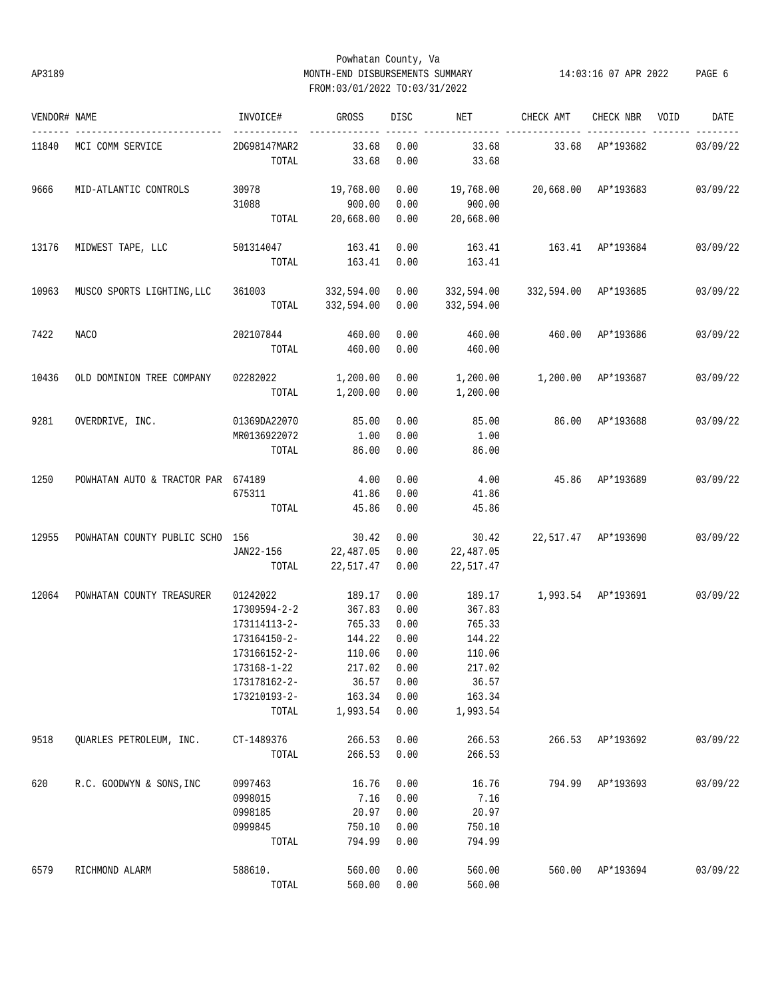# Powhatan County, Va AP3189 MONTH-END DISBURSEMENTS SUMMARY 14:03:16 07 APR 2022 PAGE 6 FROM:03/01/2022 TO:03/31/2022

| VENDOR# NAME |                                    | INVOICE#              | GROSS              | DISC         | NET                | CHECK AMT            | CHECK NBR        | VOID | DATE     |
|--------------|------------------------------------|-----------------------|--------------------|--------------|--------------------|----------------------|------------------|------|----------|
| 11840        | MCI COMM SERVICE                   | 2DG98147MAR2          | 33.68              | 0.00         | 33.68              | 33.68                | AP*193682        |      | 03/09/22 |
|              |                                    | TOTAL                 | 33.68              | 0.00         | 33.68              |                      |                  |      |          |
| 9666         | MID-ATLANTIC CONTROLS              | 30978                 | 19,768.00          | 0.00         | 19,768.00          | 20,668.00 AP*193683  |                  |      | 03/09/22 |
|              |                                    | 31088                 | 900.00             | 0.00         | 900.00             |                      |                  |      |          |
|              |                                    | TOTAL                 | 20,668.00          | 0.00         | 20,668.00          |                      |                  |      |          |
| 13176        | MIDWEST TAPE, LLC                  | 501314047             | 163.41             | 0.00         | 163.41             | 163.41 AP*193684     |                  |      | 03/09/22 |
|              |                                    | TOTAL                 | 163.41             | 0.00         | 163.41             |                      |                  |      |          |
| 10963        | MUSCO SPORTS LIGHTING, LLC         | 361003 332,594.00     |                    | 0.00         | 332,594.00         | 332,594.00 AP*193685 |                  |      | 03/09/22 |
|              |                                    |                       | TOTAL 332,594.00   | 0.00         | 332,594.00         |                      |                  |      |          |
| 7422         | <b>NACO</b>                        | 202107844             | 460.00             | 0.00         | 460.00             | 460.00               | AP*193686        |      | 03/09/22 |
|              |                                    | TOTAL                 | 460.00             | 0.00         | 460.00             |                      |                  |      |          |
| 10436        | OLD DOMINION TREE COMPANY          | 02282022              | 1,200.00           | 0.00         | 1,200.00           | 1,200.00 AP*193687   |                  |      | 03/09/22 |
|              |                                    | TOTAL                 | 1,200.00           | 0.00         | 1,200.00           |                      |                  |      |          |
| 9281         | OVERDRIVE, INC.                    | 01369DA22070          | 85.00              | 0.00         | 85.00              |                      | 86.00 AP*193688  |      | 03/09/22 |
|              |                                    | MR0136922072          | 1.00               | 0.00         | 1.00               |                      |                  |      |          |
|              |                                    | TOTAL                 | 86.00              | 0.00         | 86.00              |                      |                  |      |          |
| 1250         | POWHATAN AUTO & TRACTOR PAR 674189 |                       | 4.00               | 0.00         | 4.00               | 45.86 AP*193689      |                  |      | 03/09/22 |
|              |                                    | 675311                | 41.86              | 0.00         | 41.86              |                      |                  |      |          |
|              |                                    | TOTAL                 | 45.86              | 0.00         | 45.86              |                      |                  |      |          |
| 12955        | POWHATAN COUNTY PUBLIC SCHO 156    |                       | 30.42              | 0.00         | 30.42              | 22,517.47 AP*193690  |                  |      | 03/09/22 |
|              |                                    | JAN22-156             | 22,487.05          | 0.00         | 22,487.05          |                      |                  |      |          |
|              |                                    | TOTAL                 | 22,517.47          | 0.00         | 22,517.47          |                      |                  |      |          |
| 12064        | POWHATAN COUNTY TREASURER          | 01242022              | 189.17             | 0.00         | 189.17             | 1,993.54 AP*193691   |                  |      | 03/09/22 |
|              |                                    | 17309594-2-2          | 367.83             | 0.00         | 367.83             |                      |                  |      |          |
|              |                                    | 173114113-2-          | 765.33             | 0.00         | 765.33             |                      |                  |      |          |
|              |                                    | 173164150-2-          | 144.22             | 0.00         | 144.22             |                      |                  |      |          |
|              |                                    | 173166152-2-          | 110.06             | 0.00         | 110.06             |                      |                  |      |          |
|              |                                    | 173168-1-22           | 217.02             | 0.00         | 217.02             |                      |                  |      |          |
|              |                                    | 173178162-2-          | 36.57              | 0.00         | 36.57              |                      |                  |      |          |
|              |                                    | 173210193-2-<br>TOTAL | 163.34<br>1,993.54 | 0.00<br>0.00 | 163.34<br>1,993.54 |                      |                  |      |          |
|              |                                    |                       |                    |              |                    |                      |                  |      |          |
| 9518         | QUARLES PETROLEUM, INC.            | CT-1489376            | 266.53             | 0.00         | 266.53             |                      | 266.53 AP*193692 |      | 03/09/22 |
|              |                                    | TOTAL                 | 266.53             | 0.00         | 266.53             |                      |                  |      |          |
| 620          | R.C. GOODWYN & SONS, INC           | 0997463               | 16.76              | 0.00         | 16.76              |                      | 794.99 AP*193693 |      | 03/09/22 |
|              |                                    | 0998015               | 7.16               | 0.00         | 7.16               |                      |                  |      |          |
|              |                                    | 0998185               | 20.97              | 0.00         | 20.97              |                      |                  |      |          |
|              |                                    | 0999845               | 750.10             | 0.00         | 750.10             |                      |                  |      |          |
|              |                                    | TOTAL                 | 794.99             | 0.00         | 794.99             |                      |                  |      |          |
| 6579         | RICHMOND ALARM                     | 588610.               | 560.00             | 0.00         | 560.00             |                      | 560.00 AP*193694 |      | 03/09/22 |
|              |                                    | TOTAL                 | 560.00             | 0.00         | 560.00             |                      |                  |      |          |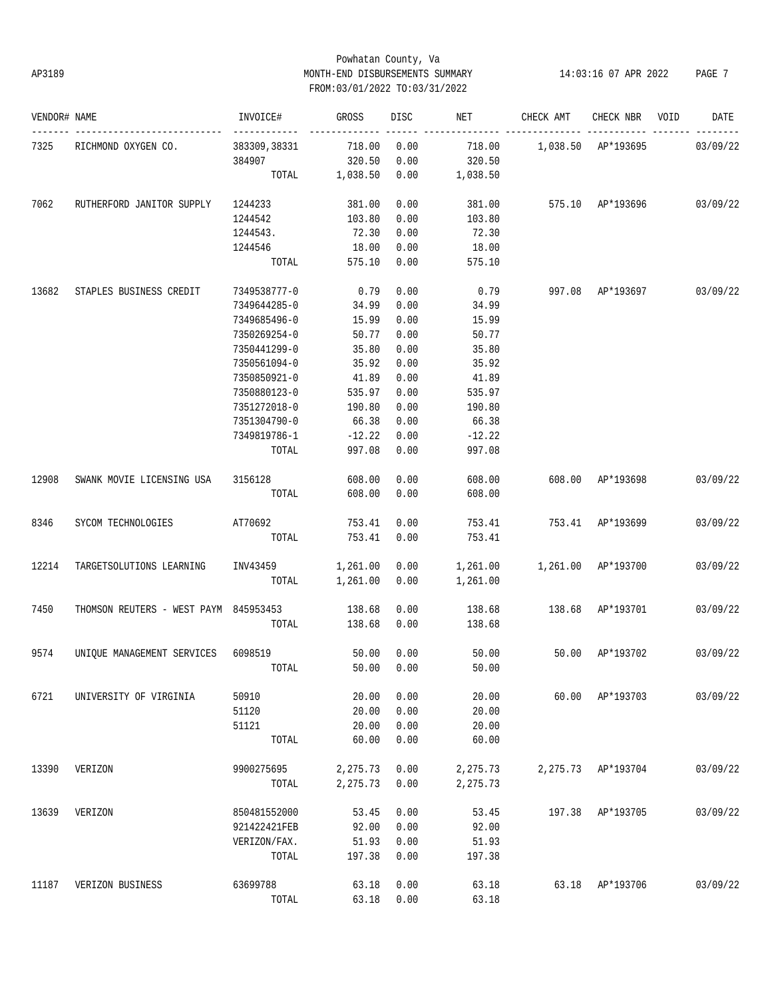# Powhatan County, Va AP3189 MONTH-END DISBURSEMENTS SUMMARY 14:03:16 07 APR 2022 PAGE 7 FROM:03/01/2022 TO:03/31/2022

| VENDOR# NAME |                                              | INVOICE#            | <b>GROSS</b>   | DISC <sub>2</sub> | NET FOR THE STATE OF THE STATE OF THE STATE OF THE STATE OF THE STATE OF THE STATE OF THE STATE OF THE STATE O | CHECK AMT CHECK NBR VOID         |                 | DATE     |
|--------------|----------------------------------------------|---------------------|----------------|-------------------|----------------------------------------------------------------------------------------------------------------|----------------------------------|-----------------|----------|
| 7325         | RICHMOND OXYGEN CO.                          | 383309,38331 718.00 |                | 0.00              | ____________________                                                                                           |                                  |                 | 03/09/22 |
|              |                                              | 384907              | 320.50         | 0.00              | 320.50                                                                                                         |                                  |                 |          |
|              |                                              |                     | TOTAL 1,038.50 | 0.00              | 1,038.50                                                                                                       |                                  |                 |          |
| 7062         | RUTHERFORD JANITOR SUPPLY 1244233            |                     | 381.00         | 0.00              |                                                                                                                | 381.00 575.10 AP*193696 03/09/22 |                 |          |
|              |                                              | 1244542             | 103.80         | 0.00              | 103.80                                                                                                         |                                  |                 |          |
|              |                                              | 1244543.            | 72.30          | 0.00              | 72.30                                                                                                          |                                  |                 |          |
|              |                                              | 1244546             | 18.00          | 0.00              | 18.00                                                                                                          |                                  |                 |          |
|              |                                              | TOTAL               | 575.10         | 0.00              | 575.10                                                                                                         |                                  |                 |          |
| 13682        | STAPLES BUSINESS CREDIT                      | 7349538777-0        | 0.79           | 0.00              | 0.79                                                                                                           | 997.08 AP*193697                 |                 | 03/09/22 |
|              |                                              | 7349644285-0        | 34.99          | 0.00              | 34.99                                                                                                          |                                  |                 |          |
|              |                                              | 7349685496-0        | 15.99          | 0.00              | 15.99                                                                                                          |                                  |                 |          |
|              |                                              | 7350269254-0        | 50.77          | 0.00              | 50.77                                                                                                          |                                  |                 |          |
|              |                                              | 7350441299-0        | 35.80          | 0.00              | 35.80                                                                                                          |                                  |                 |          |
|              |                                              | 7350561094-0        | 35.92          | 0.00              | 35.92                                                                                                          |                                  |                 |          |
|              |                                              | 7350850921-0        | 41.89          | 0.00              | 41.89                                                                                                          |                                  |                 |          |
|              |                                              | 7350880123-0        | 535.97         | 0.00              | 535.97                                                                                                         |                                  |                 |          |
|              |                                              | 7351272018-0        | 190.80         | 0.00              | 190.80                                                                                                         |                                  |                 |          |
|              |                                              | 7351304790-0        | 66.38          | 0.00              | 66.38                                                                                                          |                                  |                 |          |
|              |                                              | 7349819786-1        | $-12.22$       | 0.00              | $-12.22$                                                                                                       |                                  |                 |          |
|              |                                              | TOTAL               | 997.08         | 0.00              | 997.08                                                                                                         |                                  |                 |          |
| 12908        | SWANK MOVIE LICENSING USA                    | 3156128             | 608.00         | 0.00              | 608.00                                                                                                         | 608.00 AP*193698                 |                 | 03/09/22 |
|              |                                              | TOTAL               | 608.00         | 0.00              | 608.00                                                                                                         |                                  |                 |          |
| 8346         | SYCOM TECHNOLOGIES                           | AT70692             | 753.41         | 0.00              | 753.41                                                                                                         | 753.41 AP*193699                 |                 | 03/09/22 |
|              |                                              | TOTAL               | 753.41         | 0.00              | 753.41                                                                                                         |                                  |                 |          |
| 12214        | TARGETSOLUTIONS LEARNING                     | INV43459            | 1,261.00       | 0.00              |                                                                                                                | 1,261.00   1,261.00   AP*193700  |                 | 03/09/22 |
|              |                                              | TOTAL               | 1,261.00       | 0.00              | 1,261.00                                                                                                       |                                  |                 |          |
| 7450         | THOMSON REUTERS - WEST PAYM 845953453 138.68 |                     |                | 0.00              |                                                                                                                | 138.68   138.68   AP*193701      |                 | 03/09/22 |
|              |                                              | TOTAL               | 138.68         | 0.00              | 138.68                                                                                                         |                                  |                 |          |
| 9574         | UNIQUE MANAGEMENT SERVICES 6098519           |                     | 50.00          | 0.00              | 50.00                                                                                                          | 50.00                            | AP*193702       | 03/09/22 |
|              |                                              | TOTAL               |                |                   | 50.00 0.00 50.00                                                                                               |                                  |                 |          |
| 6721         | UNIVERSITY OF VIRGINIA                       | 50910               | 20.00          | 0.00              | 20.00                                                                                                          |                                  | 60.00 AP*193703 | 03/09/22 |
|              |                                              | 51120               | 20.00          | 0.00              | 20.00                                                                                                          |                                  |                 |          |
|              |                                              | 51121               | 20.00          | 0.00              | 20.00                                                                                                          |                                  |                 |          |
|              |                                              | TOTAL               | 60.00          | 0.00              | 60.00                                                                                                          |                                  |                 |          |
| 13390        | VERIZON                                      | 9900275695          | 2,275.73       | 0.00              | 2,275.73                                                                                                       | 2,275.73                         | AP*193704       | 03/09/22 |
|              |                                              | TOTAL               | 2,275.73       | 0.00              | 2,275.73                                                                                                       |                                  |                 |          |
| 13639        | VERIZON                                      | 850481552000        | 53.45          | 0.00              | 53.45                                                                                                          | 197.38                           | AP*193705       | 03/09/22 |
|              |                                              | 921422421FEB        | 92.00          | 0.00              | 92.00                                                                                                          |                                  |                 |          |
|              |                                              | VERIZON/FAX.        | 51.93          | 0.00              | 51.93                                                                                                          |                                  |                 |          |
|              |                                              | TOTAL               | 197.38         | 0.00              | 197.38                                                                                                         |                                  |                 |          |
| 11187        | VERIZON BUSINESS                             | 63699788            | 63.18          | 0.00              | 63.18                                                                                                          | 63.18                            | AP*193706       | 03/09/22 |
|              |                                              | TOTAL               | 63.18          | 0.00              | 63.18                                                                                                          |                                  |                 |          |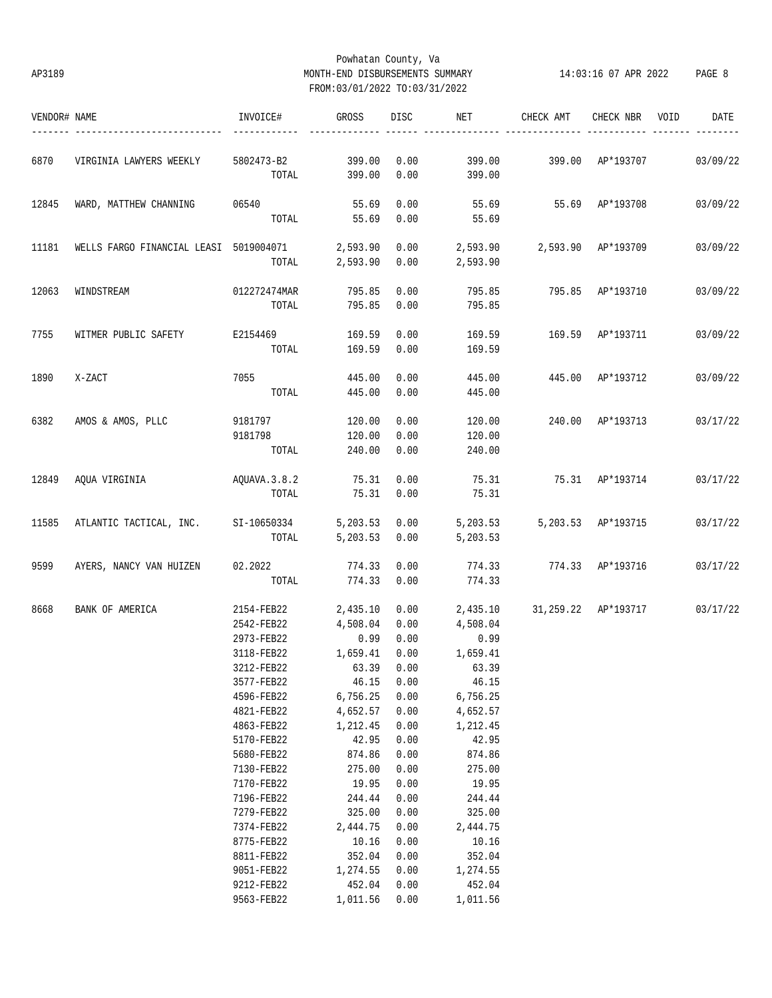# Powhatan County, Va AP3189 MONTH-END DISBURSEMENTS SUMMARY 14:03:16 07 APR 2022 PAGE 8 FROM:03/01/2022 TO:03/31/2022

| VENDOR# NAME |                                                 | INVOICE#                    | GROSS         | DISC | NET                         | CHECK AMT                    | CHECK NBR VOID     | DATE     |
|--------------|-------------------------------------------------|-----------------------------|---------------|------|-----------------------------|------------------------------|--------------------|----------|
| 6870         | VIRGINIA LAWYERS WEEKLY                         | 5802473-B2 399.00           |               | 0.00 | 399.00                      | 399.00 AP*193707             |                    | 03/09/22 |
|              |                                                 |                             | TOTAL 399.00  | 0.00 | 399.00                      |                              |                    |          |
| 12845        | WARD, MATTHEW CHANNING                          | 06540                       | 55.69         | 0.00 | 55.69                       | 55.69 AP*193708              |                    | 03/09/22 |
|              |                                                 |                             | TOTAL 55.69   | 0.00 | 55.69                       |                              |                    |          |
| 11181        | WELLS FARGO FINANCIAL LEASI 5019004071 2,593.90 |                             |               | 0.00 | 2,593.90 2,593.90 AP*193709 |                              |                    | 03/09/22 |
|              |                                                 | TOTAL                       | 2,593.90      | 0.00 | 2,593.90                    |                              |                    |          |
| 12063        | WINDSTREAM                                      | 012272474MAR                | 795.85        | 0.00 | 795.85                      |                              | 795.85 AP*193710   | 03/09/22 |
|              |                                                 | TOTAL                       | 795.85 0.00   |      | 795.85                      |                              |                    |          |
| 7755         | WITMER PUBLIC SAFETY                            | E2154469                    | 169.59        | 0.00 | 169.59                      | 169.59 AP*193711             |                    | 03/09/22 |
|              |                                                 | TOTAL                       | 169.59        | 0.00 | 169.59                      |                              |                    |          |
| 1890         | X-ZACT                                          |                             | 445.00        | 0.00 | 445.00                      | 445.00 AP*193712             |                    | 03/09/22 |
|              |                                                 | TOTAL                       | 445.00        | 0.00 | 445.00                      |                              |                    |          |
|              |                                                 |                             |               |      |                             |                              |                    |          |
| 6382         | AMOS & AMOS, PLLC                               | 9181797                     | 120.00        | 0.00 | 120.00                      | 240.00 AP*193713             |                    | 03/17/22 |
|              |                                                 | 9181798                     | 120.00        | 0.00 | 120.00                      |                              |                    |          |
|              |                                                 | TOTAL                       | 240.00        | 0.00 | 240.00                      |                              |                    |          |
|              | 12849 AQUA VIRGINIA                             | AQUAVA.3.8.2                | 75.31         | 0.00 | 75.31                       | 75.31 AP*193714              |                    | 03/17/22 |
|              |                                                 | TOTAL                       | 75.31         | 0.00 | 75.31                       |                              |                    |          |
| 11585        | ATLANTIC TACTICAL, INC. SI-10650334             |                             |               |      | 5,203.53 0.00 5,203.53      |                              | 5,203.53 AP*193715 | 03/17/22 |
|              |                                                 | TOTAL                       | 5,203.53 0.00 |      | 5,203.53                    |                              |                    |          |
| 9599         | AYERS, NANCY VAN HUIZEN 02.2022                 |                             | 774.33        | 0.00 | 774.33                      | 774.33 AP*193716             |                    | 03/17/22 |
|              |                                                 | TOTAL                       | 774.33        | 0.00 | 774.33                      |                              |                    |          |
| 8668         | BANK OF AMERICA                                 | 2154-FEB22                  | 2,435.10      | 0.00 |                             | 2,435.10 31,259.22 AP*193717 |                    | 03/17/22 |
|              |                                                 | 2542-FEB22                  | 4,508.04      | 0.00 | 4,508.04                    |                              |                    |          |
|              |                                                 | 2973-FEB22                  | 0.99          | 0.00 | 0.99                        |                              |                    |          |
|              |                                                 | 3118-FEB22                  | 1,659.41      | 0.00 | 1,659.41                    |                              |                    |          |
|              |                                                 | 3212-FEB22 63.39 0.00 63.39 |               |      |                             |                              |                    |          |
|              |                                                 | 3577-FEB22                  | 46.15         | 0.00 | 46.15                       |                              |                    |          |
|              |                                                 | 4596-FEB22                  | 6,756.25      | 0.00 | 6,756.25                    |                              |                    |          |
|              |                                                 | 4821-FEB22                  | 4,652.57      | 0.00 | 4,652.57                    |                              |                    |          |
|              |                                                 | 4863-FEB22                  | 1,212.45      | 0.00 | 1,212.45                    |                              |                    |          |
|              |                                                 | 5170-FEB22                  | 42.95         | 0.00 | 42.95                       |                              |                    |          |
|              |                                                 | 5680-FEB22                  | 874.86        | 0.00 | 874.86                      |                              |                    |          |
|              |                                                 | 7130-FEB22                  | 275.00        | 0.00 | 275.00                      |                              |                    |          |
|              |                                                 | 7170-FEB22                  | 19.95         | 0.00 | 19.95                       |                              |                    |          |
|              |                                                 | 7196-FEB22                  | 244.44        | 0.00 | 244.44                      |                              |                    |          |
|              |                                                 | 7279-FEB22                  | 325.00        | 0.00 | 325.00                      |                              |                    |          |
|              |                                                 | 7374-FEB22                  | 2,444.75      | 0.00 | 2,444.75                    |                              |                    |          |
|              |                                                 | 8775-FEB22                  | 10.16         | 0.00 | 10.16                       |                              |                    |          |
|              |                                                 | 8811-FEB22                  | 352.04        | 0.00 | 352.04                      |                              |                    |          |
|              |                                                 | 9051-FEB22                  | 1,274.55      | 0.00 | 1,274.55                    |                              |                    |          |
|              |                                                 | 9212-FEB22                  | 452.04        | 0.00 | 452.04                      |                              |                    |          |
|              |                                                 | 9563-FEB22                  | 1,011.56      | 0.00 | 1,011.56                    |                              |                    |          |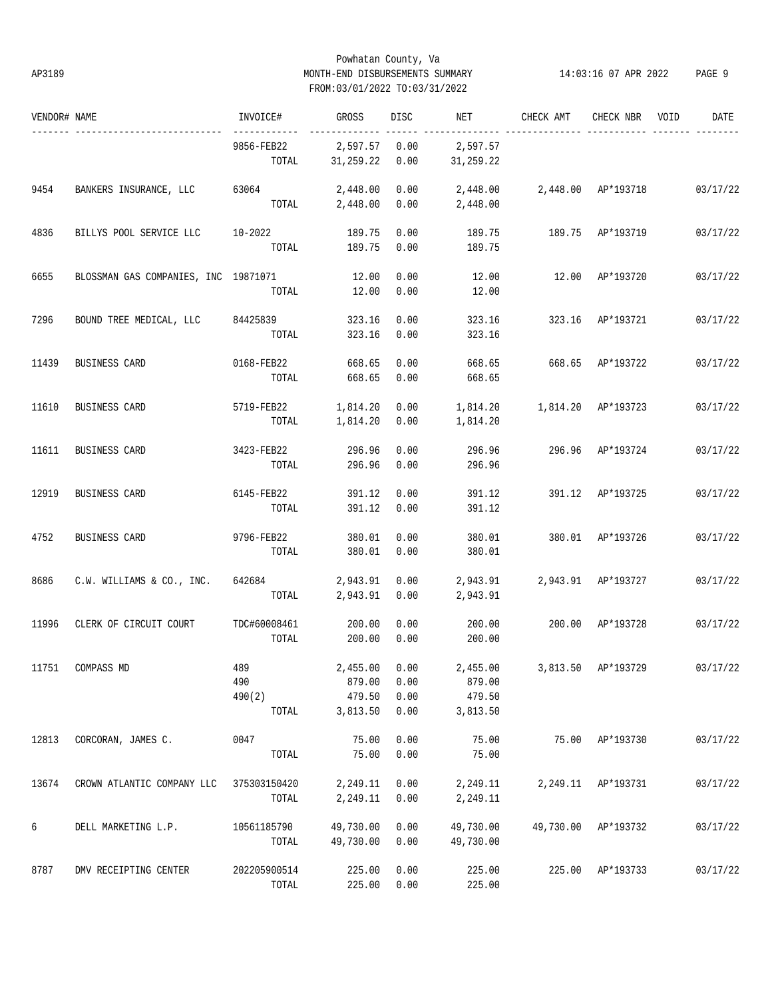# Powhatan County, Va AP3189 MONTH-END DISBURSEMENTS SUMMARY 14:03:16 07 APR 2022 PAGE 9 FROM:03/01/2022 TO:03/31/2022

| VENDOR# NAME |                                      | INVOICE#                      | GROSS                                           | DISC                 | NET                          | CHECK AMT                            | CHECK NBR          | VOID | DATE     |
|--------------|--------------------------------------|-------------------------------|-------------------------------------------------|----------------------|------------------------------|--------------------------------------|--------------------|------|----------|
|              |                                      | 9856-FEB22<br>TOTAL           | 2,597.57 0.00<br>31,259.22                      | 0.00                 | 2,597.57<br>31,259.22        |                                      |                    |      |          |
| 9454         | BANKERS INSURANCE, LLC               | 63064                         | 2,448.00<br>TOTAL 2,448.00                      | 0.00<br>0.00         | 2,448.00<br>2,448.00         | 2,448.00 AP*193718 03/17/22          |                    |      |          |
| 4836         | BILLYS POOL SERVICE LLC 10-2022      | TOTAL                         | 189.75<br>189.75                                | 0.00<br>0.00         | 189.75<br>189.75             |                                      | 189.75 AP*193719   |      | 03/17/22 |
| 6655         | BLOSSMAN GAS COMPANIES, INC 19871071 | TOTAL                         | 12.00<br>12.00                                  | 0.00<br>0.00         | 12.00<br>12.00               |                                      | 12.00 AP*193720    |      | 03/17/22 |
| 7296         | BOUND TREE MEDICAL, LLC 84425839     | TOTAL                         | 323.16<br>323.16                                | 0.00<br>0.00         | 323.16<br>323.16             | 323.16                               | AP*193721          |      | 03/17/22 |
| 11439        | BUSINESS CARD                        | 0168-FEB22<br>TOTAL           | 668.65<br>668.65                                | 0.00<br>0.00         | 668.65<br>668.65             | 668.65 AP*193722                     |                    |      | 03/17/22 |
| 11610        | BUSINESS CARD                        | 5719-FEB22<br>TOTAL           | 1,814.20<br>1,814.20                            | 0.00<br>0.00         | 1,814.20                     |                                      |                    |      | 03/17/22 |
| 11611        | BUSINESS CARD                        | 3423-FEB22<br>TOTAL           | 296.96<br>296.96                                | 0.00<br>0.00         | 296.96<br>296.96             |                                      | 296.96 AP*193724   |      | 03/17/22 |
| 12919        | BUSINESS CARD                        | 6145-FEB22<br>TOTAL           | 391.12<br>391.12                                | 0.00<br>0.00         | 391.12<br>391.12             |                                      | 391.12 AP*193725   |      | 03/17/22 |
| 4752         | BUSINESS CARD                        | 9796-FEB22<br>TOTAL           | 380.01<br>380.01                                | 0.00<br>0.00         | 380.01<br>380.01             | 380.01 AP*193726                     |                    |      | 03/17/22 |
| 8686         | C.W. WILLIAMS & CO., INC.            | 642684<br>TOTAL               | 2,943.91<br>2,943.91                            | 0.00<br>0.00         | 2,943.91                     | 2,943.91 2,943.91 AP*193727          |                    |      | 03/17/22 |
| 11996        | CLERK OF CIRCUIT COURT               | TDC#60008461<br>TOTAL         | 200.00<br>200.00                                | 0.00<br>0.00         | 200.00<br>200.00             | 200.00 AP*193728                     |                    |      | 03/17/22 |
|              | 11751 COMPASS MD                     | 489<br>490<br>490(2)<br>TOTAL | $2,455.00$ 0.00<br>879.00<br>479.50<br>3,813.50 | 0.00<br>0.00<br>0.00 | 879.00<br>479.50<br>3,813.50 | 2,455.00 3,813.50 AP*193729 03/17/22 |                    |      |          |
| 12813        | CORCORAN, JAMES C.                   | 0047<br>TOTAL                 | 75.00<br>75.00                                  | 0.00<br>0.00         | 75.00<br>75.00               |                                      | 75.00 AP*193730    |      | 03/17/22 |
| 13674        | CROWN ATLANTIC COMPANY LLC           | 375303150420<br>TOTAL         | 2,249.11<br>2,249.11                            | 0.00<br>0.00         | 2,249.11<br>2,249.11         |                                      | 2,249.11 AP*193731 |      | 03/17/22 |
| 6            | DELL MARKETING L.P.                  | 10561185790<br>TOTAL          | 49,730.00<br>49,730.00                          | 0.00<br>0.00         | 49,730.00<br>49,730.00       | 49,730.00                            | AP*193732          |      | 03/17/22 |
| 8787         | DMV RECEIPTING CENTER                | 202205900514<br>TOTAL         | 225.00<br>225.00                                | 0.00<br>0.00         | 225.00<br>225.00             |                                      | 225.00 AP*193733   |      | 03/17/22 |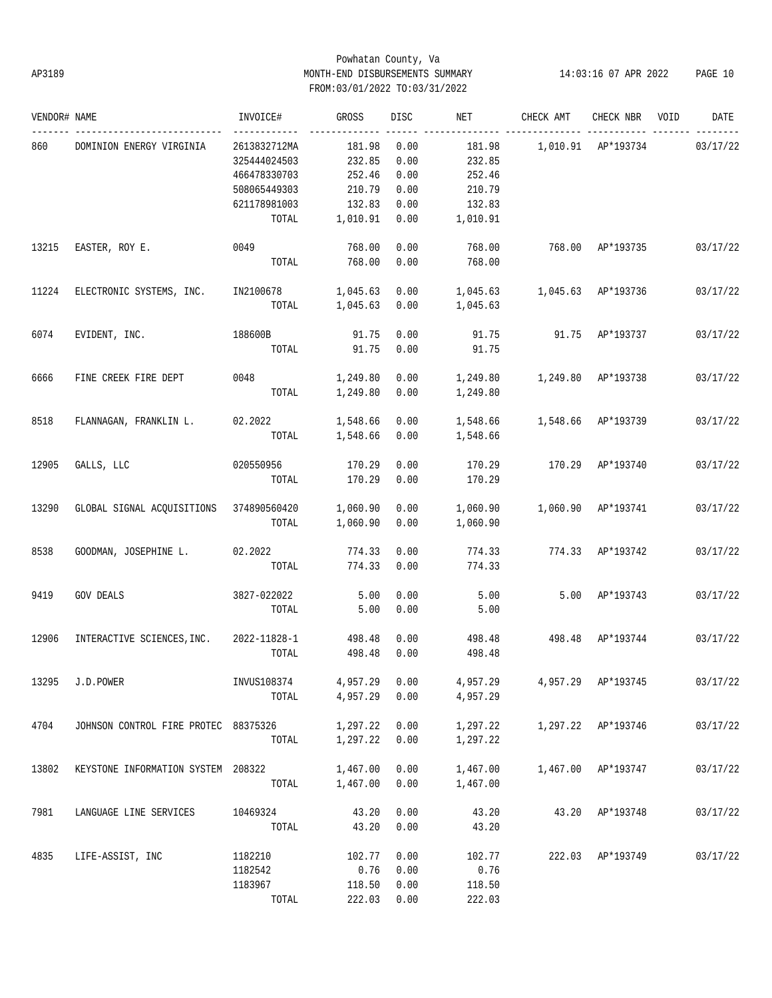# Powhatan County, Va AP3189 MONTH-END DISBURSEMENTS SUMMARY 14:03:16 07 APR 2022 PAGE 10 FROM:03/01/2022 TO:03/31/2022

| VENDOR# NAME |                                         | INVOICE#     | GROSS    | DISC | NET      | CHECK AMT          | CHECK NBR          | VOID | DATE     |
|--------------|-----------------------------------------|--------------|----------|------|----------|--------------------|--------------------|------|----------|
| 860          | DOMINION ENERGY VIRGINIA                | 2613832712MA | 181.98   | 0.00 | 181.98   |                    | 1,010.91 AP*193734 |      | 03/17/22 |
|              |                                         | 325444024503 | 232.85   | 0.00 | 232.85   |                    |                    |      |          |
|              |                                         | 466478330703 | 252.46   | 0.00 | 252.46   |                    |                    |      |          |
|              |                                         | 508065449303 | 210.79   | 0.00 | 210.79   |                    |                    |      |          |
|              |                                         | 621178981003 | 132.83   | 0.00 | 132.83   |                    |                    |      |          |
|              |                                         | TOTAL        | 1,010.91 | 0.00 | 1,010.91 |                    |                    |      |          |
| 13215        | EASTER, ROY E.                          | 0049         | 768.00   | 0.00 | 768.00   | 768.00             | AP*193735          |      | 03/17/22 |
|              |                                         | TOTAL        | 768.00   | 0.00 | 768.00   |                    |                    |      |          |
| 11224        | ELECTRONIC SYSTEMS, INC.                | IN2100678    | 1,045.63 | 0.00 | 1,045.63 | 1,045.63           | AP*193736          |      | 03/17/22 |
|              |                                         | TOTAL        | 1,045.63 | 0.00 | 1,045.63 |                    |                    |      |          |
| 6074         | EVIDENT, INC.                           | 188600B      | 91.75    | 0.00 | 91.75    | 91.75              | AP*193737          |      | 03/17/22 |
|              |                                         | TOTAL        | 91.75    | 0.00 | 91.75    |                    |                    |      |          |
| 6666         | FINE CREEK FIRE DEPT                    | 0048         | 1,249.80 | 0.00 | 1,249.80 | 1,249.80 AP*193738 |                    |      | 03/17/22 |
|              |                                         | TOTAL        | 1,249.80 | 0.00 | 1,249.80 |                    |                    |      |          |
| 8518         | FLANNAGAN, FRANKLIN L.                  | 02.2022      | 1,548.66 | 0.00 | 1,548.66 | 1,548.66 AP*193739 |                    |      | 03/17/22 |
|              |                                         | TOTAL        | 1,548.66 | 0.00 | 1,548.66 |                    |                    |      |          |
| 12905        | GALLS, LLC                              | 020550956    | 170.29   | 0.00 | 170.29   | 170.29             | AP*193740          |      | 03/17/22 |
|              |                                         | TOTAL        | 170.29   | 0.00 | 170.29   |                    |                    |      |          |
| 13290        | GLOBAL SIGNAL ACQUISITIONS 374890560420 |              | 1,060.90 | 0.00 | 1,060.90 | 1,060.90           | AP*193741          |      | 03/17/22 |
|              |                                         | TOTAL        | 1,060.90 | 0.00 | 1,060.90 |                    |                    |      |          |
| 8538         | GOODMAN, JOSEPHINE L.                   | 02.2022      | 774.33   | 0.00 | 774.33   | 774.33             | AP*193742          |      | 03/17/22 |
|              |                                         | TOTAL        | 774.33   | 0.00 | 774.33   |                    |                    |      |          |
| 9419         | <b>GOV DEALS</b>                        | 3827-022022  | 5.00     | 0.00 | 5.00     | 5.00               | AP*193743          |      | 03/17/22 |
|              |                                         | TOTAL        | 5.00     | 0.00 | 5.00     |                    |                    |      |          |
| 12906        | INTERACTIVE SCIENCES, INC.              | 2022-11828-1 | 498.48   | 0.00 | 498.48   | 498.48             | AP*193744          |      | 03/17/22 |
|              |                                         | TOTAL        | 498.48   | 0.00 | 498.48   |                    |                    |      |          |
| 13295        | J.D.POWER                               | INVUS108374  | 4,957.29 | 0.00 | 4,957.29 |                    | 4,957.29 AP*193745 |      | 03/17/22 |
|              |                                         | TOTAL        | 4,957.29 | 0.00 | 4,957.29 |                    |                    |      |          |
| 4704         | JOHNSON CONTROL FIRE PROTEC 88375326    |              | 1,297.22 | 0.00 | 1,297.22 |                    | 1,297.22 AP*193746 |      | 03/17/22 |
|              |                                         | TOTAL        | 1,297.22 | 0.00 | 1,297.22 |                    |                    |      |          |
| 13802        | KEYSTONE INFORMATION SYSTEM 208322      |              | 1,467.00 | 0.00 | 1,467.00 | 1,467.00           | AP*193747          |      | 03/17/22 |
|              |                                         | TOTAL        | 1,467.00 | 0.00 | 1,467.00 |                    |                    |      |          |
| 7981         | LANGUAGE LINE SERVICES                  | 10469324     | 43.20    | 0.00 | 43.20    | 43.20              | AP*193748          |      | 03/17/22 |
|              |                                         | TOTAL        | 43.20    | 0.00 | 43.20    |                    |                    |      |          |
| 4835         | LIFE-ASSIST, INC                        | 1182210      | 102.77   | 0.00 | 102.77   |                    | 222.03 AP*193749   |      | 03/17/22 |
|              |                                         | 1182542      | 0.76     | 0.00 | 0.76     |                    |                    |      |          |
|              |                                         | 1183967      | 118.50   | 0.00 | 118.50   |                    |                    |      |          |
|              |                                         | TOTAL        | 222.03   | 0.00 | 222.03   |                    |                    |      |          |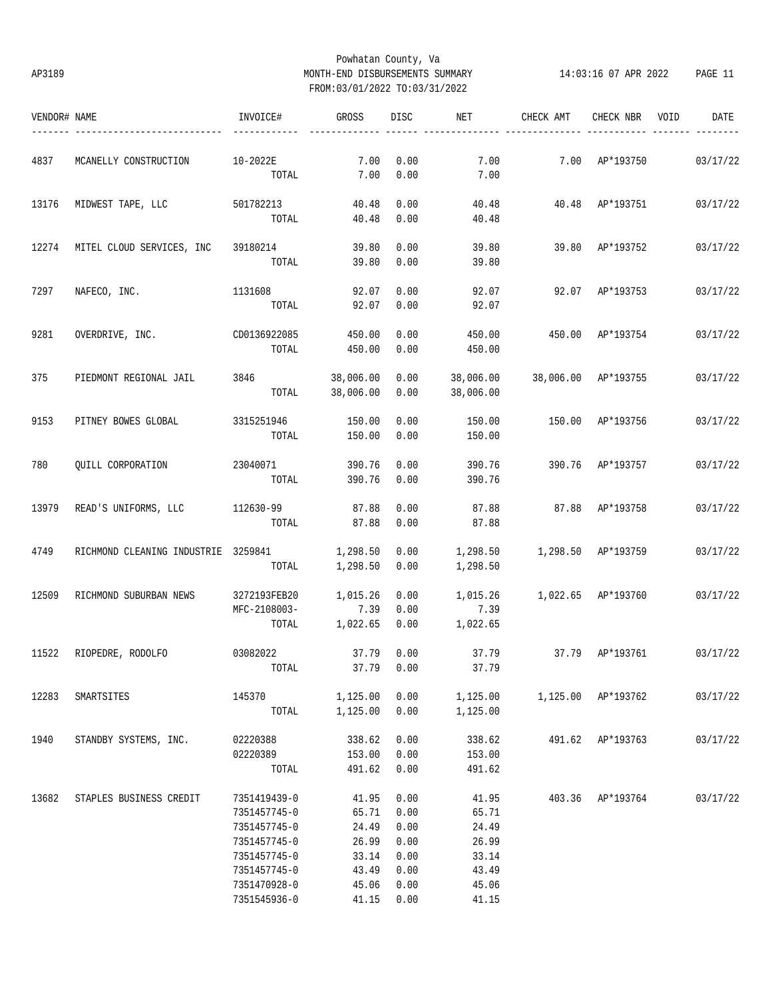# Powhatan County, Va AP3189 MONTH-END DISBURSEMENTS SUMMARY 14:03:16 07 APR 2022 PAGE 11 FROM:03/01/2022 TO:03/31/2022

| VENDOR# NAME |                                     | INVOICE#     | GROSS         | DISC | NET                    | CHECK AMT                       | CHECK NBR        | VOID | DATE     |
|--------------|-------------------------------------|--------------|---------------|------|------------------------|---------------------------------|------------------|------|----------|
| 4837         | MCANELLY CONSTRUCTION               | 10-2022E     | 7.00          | 0.00 | 7.00                   |                                 | 7.00 AP*193750   |      | 03/17/22 |
|              |                                     | TOTAL        | 7.00          | 0.00 | 7.00                   |                                 |                  |      |          |
| 13176        | MIDWEST TAPE, LLC                   | 501782213    | 40.48         | 0.00 | 40.48                  |                                 | 40.48 AP*193751  |      | 03/17/22 |
|              |                                     | TOTAL        | 40.48         | 0.00 | 40.48                  |                                 |                  |      |          |
| 12274        | MITEL CLOUD SERVICES, INC           | 39180214     | 39.80         | 0.00 | 39.80                  |                                 | 39.80 AP*193752  |      | 03/17/22 |
|              |                                     | TOTAL        | 39.80         | 0.00 | 39.80                  |                                 |                  |      |          |
| 7297         | NAFECO, INC.                        | 1131608      | 92.07         | 0.00 | 92.07                  | 92.07                           | AP*193753        |      | 03/17/22 |
|              |                                     | TOTAL        | 92.07         | 0.00 | 92.07                  |                                 |                  |      |          |
| 9281         | OVERDRIVE, INC.                     | CD0136922085 | 450.00        | 0.00 | 450.00                 | 450.00                          | AP*193754        |      | 03/17/22 |
|              |                                     | TOTAL        | 450.00        | 0.00 | 450.00                 |                                 |                  |      |          |
| 375          | PIEDMONT REGIONAL JAIL              | 3846         | 38,006.00     | 0.00 | 38,006.00              | 38,006.00 AP*193755             |                  |      | 03/17/22 |
|              |                                     | TOTAL        | 38,006.00     | 0.00 | 38,006.00              |                                 |                  |      |          |
| 9153         | PITNEY BOWES GLOBAL                 | 3315251946   | 150.00        | 0.00 | 150.00                 | 150.00                          | AP*193756        |      | 03/17/22 |
|              |                                     | TOTAL        | 150.00        | 0.00 | 150.00                 |                                 |                  |      |          |
| 780          | QUILL CORPORATION                   | 23040071     | 390.76        | 0.00 | 390.76                 |                                 | 390.76 AP*193757 |      | 03/17/22 |
|              |                                     | TOTAL        | 390.76        | 0.00 | 390.76                 |                                 |                  |      |          |
| 13979        | READ'S UNIFORMS, LLC                | 112630-99    | 87.88         | 0.00 | 87.88                  |                                 | 87.88 AP*193758  |      | 03/17/22 |
|              |                                     | TOTAL        | 87.88         | 0.00 | 87.88                  |                                 |                  |      |          |
| 4749         | RICHMOND CLEANING INDUSTRIE 3259841 |              | 1,298.50      | 0.00 | 1,298.50               | 1,298.50 AP*193759              |                  |      | 03/17/22 |
|              |                                     | TOTAL        | 1,298.50      | 0.00 | 1,298.50               |                                 |                  |      |          |
| 12509        | RICHMOND SUBURBAN NEWS              | 3272193FEB20 | 1,015.26      | 0.00 | 1,015.26               | 1,022.65 AP*193760              |                  |      | 03/17/22 |
|              |                                     | MFC-2108003- | 7.39          | 0.00 | 7.39                   |                                 |                  |      |          |
|              |                                     | TOTAL        | 1,022.65      | 0.00 | 1,022.65               |                                 |                  |      |          |
| 11522        | RIOPEDRE, RODOLFO                   | 03082022     | 37.79         | 0.00 | 37.79                  | 37.79 AP*193761                 |                  |      | 03/17/22 |
|              |                                     | TOTAL        | 37.79 0.00    |      | 37.79                  |                                 |                  |      |          |
| 12283        | SMARTSITES                          | 145370       | 1,125.00 0.00 |      |                        | 1,125.00   1,125.00   AP*193762 |                  |      | 03/17/22 |
|              |                                     | TOTAL        |               |      | 1,125.00 0.00 1,125.00 |                                 |                  |      |          |
| 1940         | STANDBY SYSTEMS, INC.               | 02220388     | 338.62        | 0.00 | 338.62                 |                                 | 491.62 AP*193763 |      | 03/17/22 |
|              |                                     | 02220389     | 153.00        | 0.00 | 153.00                 |                                 |                  |      |          |
|              |                                     | TOTAL        | 491.62 0.00   |      | 491.62                 |                                 |                  |      |          |
| 13682        | STAPLES BUSINESS CREDIT             | 7351419439-0 | 41.95         | 0.00 | 41.95                  |                                 | 403.36 AP*193764 |      | 03/17/22 |
|              |                                     | 7351457745-0 | 65.71         | 0.00 | 65.71                  |                                 |                  |      |          |
|              |                                     | 7351457745-0 | 24.49         | 0.00 | 24.49                  |                                 |                  |      |          |
|              |                                     | 7351457745-0 | 26.99         | 0.00 | 26.99                  |                                 |                  |      |          |
|              |                                     | 7351457745-0 | 33.14         | 0.00 | 33.14                  |                                 |                  |      |          |
|              |                                     | 7351457745-0 | 43.49         | 0.00 | 43.49                  |                                 |                  |      |          |
|              |                                     | 7351470928-0 | 45.06         | 0.00 | 45.06                  |                                 |                  |      |          |
|              |                                     | 7351545936-0 | 41.15         | 0.00 | 41.15                  |                                 |                  |      |          |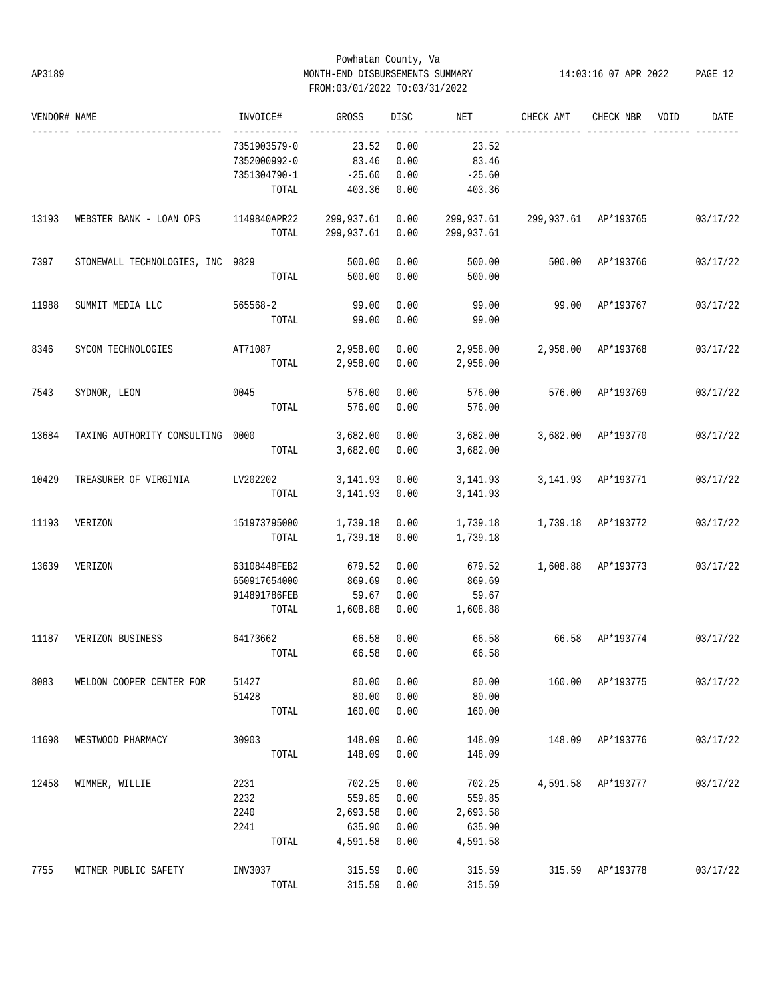# Powhatan County, Va AP3189 MONTH-END DISBURSEMENTS SUMMARY 14:03:16 07 APR 2022 PAGE 12 FROM:03/01/2022 TO:03/31/2022

| VENDOR# NAME |                                  | INVOICE#                     | GROSS         | DISC | NET        | CHECK AMT            | CHECK NBR          | VOID | DATE     |
|--------------|----------------------------------|------------------------------|---------------|------|------------|----------------------|--------------------|------|----------|
|              |                                  | ------------<br>7351903579-0 | 23.52         | 0.00 | 23.52      |                      |                    |      |          |
|              |                                  | 7352000992-0                 | 83.46         | 0.00 | 83.46      |                      |                    |      |          |
|              |                                  | 7351304790-1                 | $-25.60$      | 0.00 | $-25.60$   |                      |                    |      |          |
|              |                                  | TOTAL                        | 403.36        | 0.00 | 403.36     |                      |                    |      |          |
| 13193        | WEBSTER BANK - LOAN OPS          | 1149840APR22 299,937.61      |               | 0.00 | 299,937.61 | 299,937.61 AP*193765 |                    |      | 03/17/22 |
|              |                                  | TOTAL                        | 299,937.61    | 0.00 | 299,937.61 |                      |                    |      |          |
| 7397         | STONEWALL TECHNOLOGIES, INC 9829 |                              | 500.00        | 0.00 | 500.00     |                      | 500.00 AP*193766   |      | 03/17/22 |
|              |                                  | TOTAL                        | 500.00        | 0.00 | 500.00     |                      |                    |      |          |
| 11988        | SUMMIT MEDIA LLC                 | 565568-2                     | 99.00         | 0.00 | 99.00      |                      | 99.00 AP*193767    |      | 03/17/22 |
|              |                                  | TOTAL                        | 99.00         | 0.00 | 99.00      |                      |                    |      |          |
| 8346         | SYCOM TECHNOLOGIES               | AT71087                      | 2,958.00      | 0.00 | 2,958.00   | 2,958.00 AP*193768   |                    |      | 03/17/22 |
|              |                                  | TOTAL                        | 2,958.00      | 0.00 | 2,958.00   |                      |                    |      |          |
| 7543         | SYDNOR, LEON                     | 0045                         | 576.00        | 0.00 | 576.00     |                      | 576.00 AP*193769   |      | 03/17/22 |
|              |                                  | TOTAL                        | 576.00        | 0.00 | 576.00     |                      |                    |      |          |
| 13684        | TAXING AUTHORITY CONSULTING 0000 |                              | 3,682.00      | 0.00 | 3,682.00   |                      | 3,682.00 AP*193770 |      | 03/17/22 |
|              |                                  | TOTAL                        | 3,682.00      | 0.00 | 3,682.00   |                      |                    |      |          |
| 10429        | TREASURER OF VIRGINIA            | LV202202                     | 3,141.93 0.00 |      | 3,141.93   |                      | 3,141.93 AP*193771 |      | 03/17/22 |
|              |                                  | TOTAL                        | 3,141.93 0.00 |      | 3,141.93   |                      |                    |      |          |
| 11193        | VERIZON                          | 151973795000                 | 1,739.18      | 0.00 | 1,739.18   | 1,739.18 AP*193772   |                    |      | 03/17/22 |
|              |                                  | TOTAL                        | 1,739.18      | 0.00 | 1,739.18   |                      |                    |      |          |
| 13639        | VERIZON                          | 63108448FEB2                 | 679.52        | 0.00 | 679.52     |                      | 1,608.88 AP*193773 |      | 03/17/22 |
|              |                                  | 650917654000                 | 869.69        | 0.00 | 869.69     |                      |                    |      |          |
|              |                                  | 914891786FEB                 | 59.67         | 0.00 | 59.67      |                      |                    |      |          |
|              |                                  | TOTAL                        | 1,608.88      | 0.00 | 1,608.88   |                      |                    |      |          |
| 11187        | VERIZON BUSINESS                 | 64173662                     | 66.58         | 0.00 | 66.58      | 66.58 AP*193774      |                    |      | 03/17/22 |
|              |                                  | TOTAL                        | 66.58         | 0.00 | 66.58      |                      |                    |      |          |
| 8083         | WELDON COOPER CENTER FOR         | 51427                        | 80.00         | 0.00 | 80.00      |                      | 160.00 AP*193775   |      | 03/17/22 |
|              |                                  | 51428                        | 80.00         | 0.00 | 80.00      |                      |                    |      |          |
|              |                                  | TOTAL                        | 160.00        | 0.00 | 160.00     |                      |                    |      |          |
| 11698        | WESTWOOD PHARMACY                | 30903                        | 148.09        | 0.00 | 148.09     |                      | 148.09 AP*193776   |      | 03/17/22 |
|              |                                  | TOTAL                        | 148.09        | 0.00 | 148.09     |                      |                    |      |          |
| 12458        | WIMMER, WILLIE                   | 2231                         | 702.25        | 0.00 | 702.25     |                      | 4,591.58 AP*193777 |      | 03/17/22 |
|              |                                  | 2232                         | 559.85        | 0.00 | 559.85     |                      |                    |      |          |
|              |                                  | 2240                         | 2,693.58      | 0.00 | 2,693.58   |                      |                    |      |          |
|              |                                  | 2241                         | 635.90        | 0.00 | 635.90     |                      |                    |      |          |
|              |                                  | TOTAL                        | 4,591.58      | 0.00 | 4,591.58   |                      |                    |      |          |
| 7755         | WITMER PUBLIC SAFETY             | INV3037                      | 315.59        | 0.00 | 315.59     |                      | 315.59 AP*193778   |      | 03/17/22 |
|              |                                  | TOTAL                        | 315.59 0.00   |      | 315.59     |                      |                    |      |          |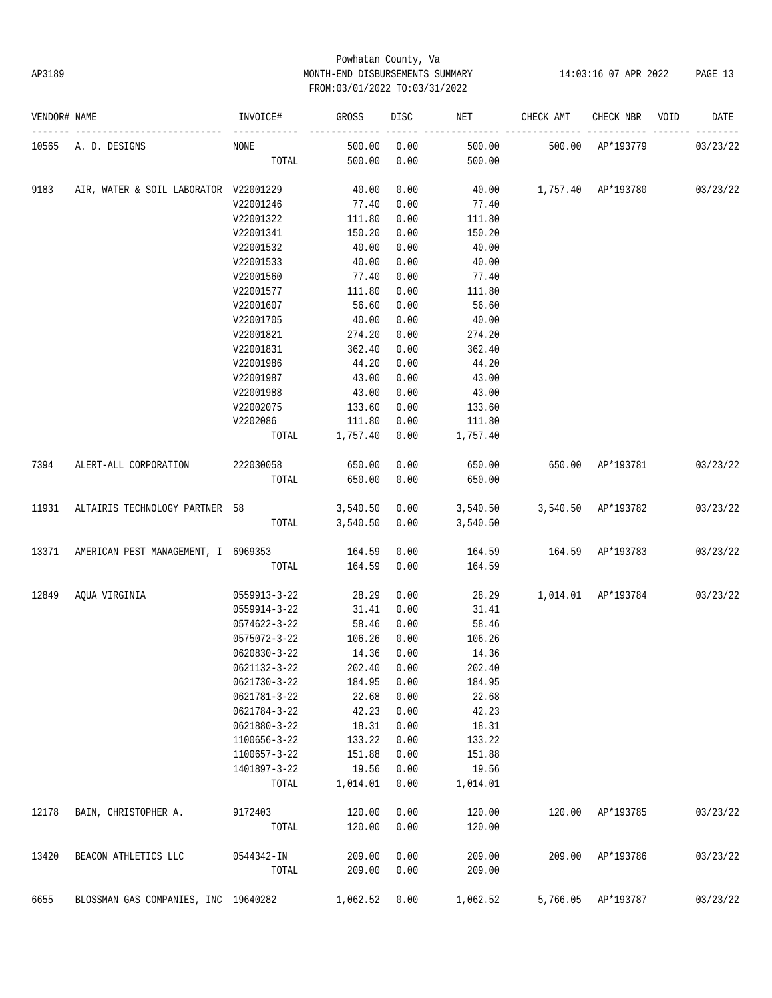# Powhatan County, Va AP3189 MONTH-END DISBURSEMENTS SUMMARY 14:03:16 07 APR 2022 PAGE 13 FROM:03/01/2022 TO:03/31/2022

| VENDOR# NAME |                                       | INVOICE#           | GROSS          | DISC        | NET      | CHECK AMT                   | CHECK NBR          | VOID | DATE     |
|--------------|---------------------------------------|--------------------|----------------|-------------|----------|-----------------------------|--------------------|------|----------|
| 10565        | A. D. DESIGNS                         | NONE               | 500.00         | 0.00        | 500.00   | 500.00                      | AP*193779          |      | 03/23/22 |
|              |                                       | TOTAL              | 500.00         | 0.00        | 500.00   |                             |                    |      |          |
| 9183         | AIR, WATER & SOIL LABORATOR V22001229 |                    | 40.00          | 0.00        | 40.00    | 1,757.40 AP*193780          |                    |      | 03/23/22 |
|              |                                       | V22001246          | 77.40          | 0.00        | 77.40    |                             |                    |      |          |
|              |                                       | V22001322          | 111.80         | 0.00        | 111.80   |                             |                    |      |          |
|              |                                       | V22001341          | 150.20         | 0.00        | 150.20   |                             |                    |      |          |
|              |                                       | V22001532          | 40.00          | 0.00        | 40.00    |                             |                    |      |          |
|              |                                       | V22001533          | 40.00          | 0.00        | 40.00    |                             |                    |      |          |
|              |                                       | V22001560          | 77.40          | 0.00        | 77.40    |                             |                    |      |          |
|              |                                       | V22001577          | 111.80         | 0.00        | 111.80   |                             |                    |      |          |
|              |                                       | V22001607          | 56.60          | 0.00        | 56.60    |                             |                    |      |          |
|              |                                       | V22001705          | 40.00          | 0.00        | 40.00    |                             |                    |      |          |
|              |                                       | V22001821          | 274.20         | 0.00        | 274.20   |                             |                    |      |          |
|              |                                       | V22001831          | 362.40         | 0.00        | 362.40   |                             |                    |      |          |
|              |                                       | V22001986          | 44.20          | 0.00        | 44.20    |                             |                    |      |          |
|              |                                       | V22001987          | 43.00          | 0.00        | 43.00    |                             |                    |      |          |
|              |                                       | V22001988          | 43.00          | 0.00        | 43.00    |                             |                    |      |          |
|              |                                       | V22002075          | 133.60         | 0.00        | 133.60   |                             |                    |      |          |
|              |                                       | V2202086           | 111.80         | 0.00        | 111.80   |                             |                    |      |          |
|              |                                       | TOTAL              | 1,757.40       | 0.00        | 1,757.40 |                             |                    |      |          |
| 7394         | ALERT-ALL CORPORATION                 | 222030058          | 650.00         | 0.00        | 650.00   | 650.00 AP*193781            |                    |      | 03/23/22 |
|              |                                       | TOTAL              | 650.00         | 0.00        | 650.00   |                             |                    |      |          |
| 11931        | ALTAIRIS TECHNOLOGY PARTNER 58        |                    | 3,540.50 0.00  |             |          | 3,540.50 3,540.50 AP*193782 |                    |      | 03/23/22 |
|              |                                       |                    | TOTAL 3,540.50 | 0.00        | 3,540.50 |                             |                    |      |          |
| 13371        | AMERICAN PEST MANAGEMENT, I 6969353   |                    | 164.59         | 0.00        | 164.59   | 164.59 AP*193783            |                    |      | 03/23/22 |
|              |                                       | TOTAL              | 164.59         | 0.00        | 164.59   |                             |                    |      |          |
| 12849        | AQUA VIRGINIA                         | 0559913-3-22       | 28.29          | 0.00        |          | 28.29 1,014.01 AP*193784    |                    |      | 03/23/22 |
|              |                                       | 0559914-3-22       | 31.41          | 0.00        | 31.41    |                             |                    |      |          |
|              |                                       | 0574622-3-22       | 58.46          | 0.00        | 58.46    |                             |                    |      |          |
|              |                                       | 0575072-3-22       | 106.26         | 0.00        | 106.26   |                             |                    |      |          |
|              |                                       | $0620830 - 3 - 22$ | 14.36          | 0.00        | 14.36    |                             |                    |      |          |
|              |                                       | 0621132-3-22       |                | 202.40 0.00 | 202.40   |                             |                    |      |          |
|              |                                       | 0621730-3-22       | 184.95         | 0.00        | 184.95   |                             |                    |      |          |
|              |                                       | 0621781-3-22       | 22.68          | 0.00        | 22.68    |                             |                    |      |          |
|              |                                       | 0621784-3-22       | 42.23          | 0.00        | 42.23    |                             |                    |      |          |
|              |                                       | 0621880-3-22       | 18.31          | 0.00        | 18.31    |                             |                    |      |          |
|              |                                       | 1100656-3-22       | 133.22         | 0.00        | 133.22   |                             |                    |      |          |
|              |                                       | 1100657-3-22       | 151.88         | 0.00        | 151.88   |                             |                    |      |          |
|              |                                       | 1401897-3-22       | 19.56          | 0.00        | 19.56    |                             |                    |      |          |
|              |                                       | TOTAL              | 1,014.01       | 0.00        | 1,014.01 |                             |                    |      |          |
| 12178        | BAIN, CHRISTOPHER A.                  | 9172403            | 120.00         | 0.00        | 120.00   |                             | 120.00 AP*193785   |      | 03/23/22 |
|              |                                       | TOTAL              | 120.00         | 0.00        | 120.00   |                             |                    |      |          |
| 13420        | BEACON ATHLETICS LLC                  | 0544342-IN         | 209.00         | 0.00        | 209.00   |                             | 209.00 AP*193786   |      | 03/23/22 |
|              |                                       | TOTAL              | 209.00         | 0.00        | 209.00   |                             |                    |      |          |
| 6655         | BLOSSMAN GAS COMPANIES, INC 19640282  |                    | 1,062.52 0.00  |             | 1,062.52 |                             | 5,766.05 AP*193787 |      | 03/23/22 |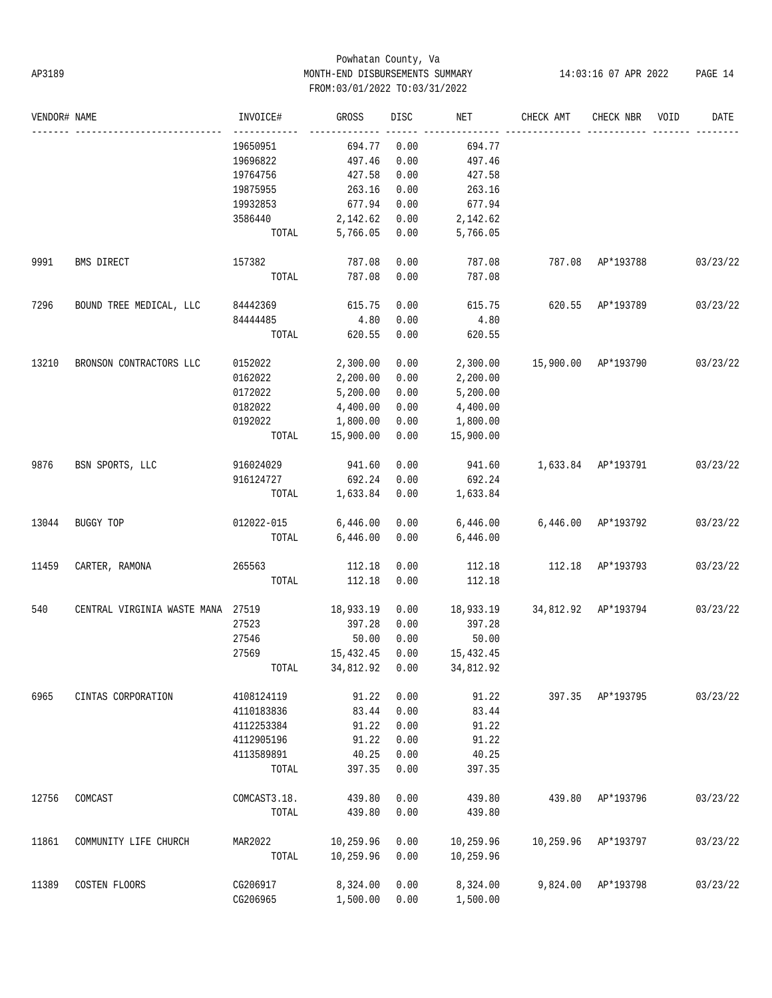# Powhatan County, Va AP3189 MONTH-END DISBURSEMENTS SUMMARY 14:03:16 07 APR 2022 PAGE 14 FROM:03/01/2022 TO:03/31/2022

| VENDOR# NAME |                                   | INVOICE#     | GROSS                | DISC | NET       | CHECK AMT           | CHECK NBR        | VOID | DATE     |
|--------------|-----------------------------------|--------------|----------------------|------|-----------|---------------------|------------------|------|----------|
|              |                                   | 19650951     | 694.77               | 0.00 | 694.77    |                     |                  |      |          |
|              |                                   | 19696822     | 497.46               | 0.00 | 497.46    |                     |                  |      |          |
|              |                                   | 19764756     | 427.58               | 0.00 | 427.58    |                     |                  |      |          |
|              |                                   | 19875955     | 263.16               | 0.00 | 263.16    |                     |                  |      |          |
|              |                                   | 19932853     | 677.94               | 0.00 | 677.94    |                     |                  |      |          |
|              |                                   | 3586440      | 2,142.62             | 0.00 | 2,142.62  |                     |                  |      |          |
|              |                                   | TOTAL        | 5,766.05             | 0.00 | 5,766.05  |                     |                  |      |          |
| 9991         | BMS DIRECT                        | 157382       | 787.08               | 0.00 | 787.08    |                     | 787.08 AP*193788 |      | 03/23/22 |
|              |                                   | TOTAL        | 787.08               | 0.00 | 787.08    |                     |                  |      |          |
| 7296         | BOUND TREE MEDICAL, LLC 84442369  |              | 615.75               | 0.00 | 615.75    | 620.55 AP*193789    |                  |      | 03/23/22 |
|              |                                   | 84444485     | 4.80                 | 0.00 | 4.80      |                     |                  |      |          |
|              |                                   | TOTAL        | 620.55               | 0.00 | 620.55    |                     |                  |      |          |
| 13210        | BRONSON CONTRACTORS LLC           | 0152022      | 2,300.00             | 0.00 | 2,300.00  | 15,900.00 AP*193790 |                  |      | 03/23/22 |
|              |                                   | 0162022      | 2,200.00             | 0.00 | 2,200.00  |                     |                  |      |          |
|              |                                   | 0172022      | 5,200.00             | 0.00 | 5,200.00  |                     |                  |      |          |
|              |                                   | 0182022      | 4,400.00             | 0.00 | 4,400.00  |                     |                  |      |          |
|              |                                   | 0192022      | 1,800.00             | 0.00 | 1,800.00  |                     |                  |      |          |
|              |                                   | TOTAL        | 15,900.00            | 0.00 | 15,900.00 |                     |                  |      |          |
| 9876         | BSN SPORTS, LLC                   | 916024029    | 941.60               | 0.00 | 941.60    | 1,633.84 AP*193791  |                  |      | 03/23/22 |
|              |                                   | 916124727    | 692.24               | 0.00 | 692.24    |                     |                  |      |          |
|              |                                   | TOTAL        | 1,633.84             | 0.00 | 1,633.84  |                     |                  |      |          |
| 13044        | BUGGY TOP                         | 012022-015   | 6,446.00             | 0.00 | 6,446.00  | 6,446.00 AP*193792  |                  |      | 03/23/22 |
|              |                                   | TOTAL        | 6,446.00             | 0.00 | 6,446.00  |                     |                  |      |          |
| 11459        | CARTER, RAMONA                    | 265563       | 112.18               | 0.00 | 112.18    |                     | 112.18 AP*193793 |      | 03/23/22 |
|              |                                   | TOTAL        | 112.18               | 0.00 | 112.18    |                     |                  |      |          |
| 540          | CENTRAL VIRGINIA WASTE MANA 27519 |              | 18,933.19            | 0.00 | 18,933.19 | 34,812.92 AP*193794 |                  |      | 03/23/22 |
|              |                                   | 27523        | 397.28               | 0.00 | 397.28    |                     |                  |      |          |
|              |                                   | 27546        | 50.00                | 0.00 | 50.00     |                     |                  |      |          |
|              |                                   | 27569        | 15,432.45            | 0.00 | 15,432.45 |                     |                  |      |          |
|              |                                   |              | TOTAL 34,812.92 0.00 |      | 34,812.92 |                     |                  |      |          |
| 6965         | CINTAS CORPORATION                | 4108124119   | 91.22                | 0.00 | 91.22     |                     | 397.35 AP*193795 |      | 03/23/22 |
|              |                                   | 4110183836   | 83.44                | 0.00 | 83.44     |                     |                  |      |          |
|              |                                   | 4112253384   | 91.22                | 0.00 | 91.22     |                     |                  |      |          |
|              |                                   | 4112905196   | 91.22                | 0.00 | 91.22     |                     |                  |      |          |
|              |                                   | 4113589891   | 40.25                | 0.00 | 40.25     |                     |                  |      |          |
|              |                                   | TOTAL        | 397.35               | 0.00 | 397.35    |                     |                  |      |          |
| 12756        | COMCAST                           | COMCAST3.18. | 439.80               | 0.00 | 439.80    | 439.80              | AP*193796        |      | 03/23/22 |
|              |                                   | TOTAL        | 439.80               | 0.00 | 439.80    |                     |                  |      |          |
| 11861        | COMMUNITY LIFE CHURCH             | MAR2022      | 10,259.96            | 0.00 | 10,259.96 | 10,259.96           | AP*193797        |      | 03/23/22 |
|              |                                   | TOTAL        | 10,259.96            | 0.00 | 10,259.96 |                     |                  |      |          |
| 11389        | COSTEN FLOORS                     | CG206917     | 8,324.00             | 0.00 | 8,324.00  | 9,824.00            | AP*193798        |      | 03/23/22 |
|              |                                   | CG206965     | 1,500.00             | 0.00 | 1,500.00  |                     |                  |      |          |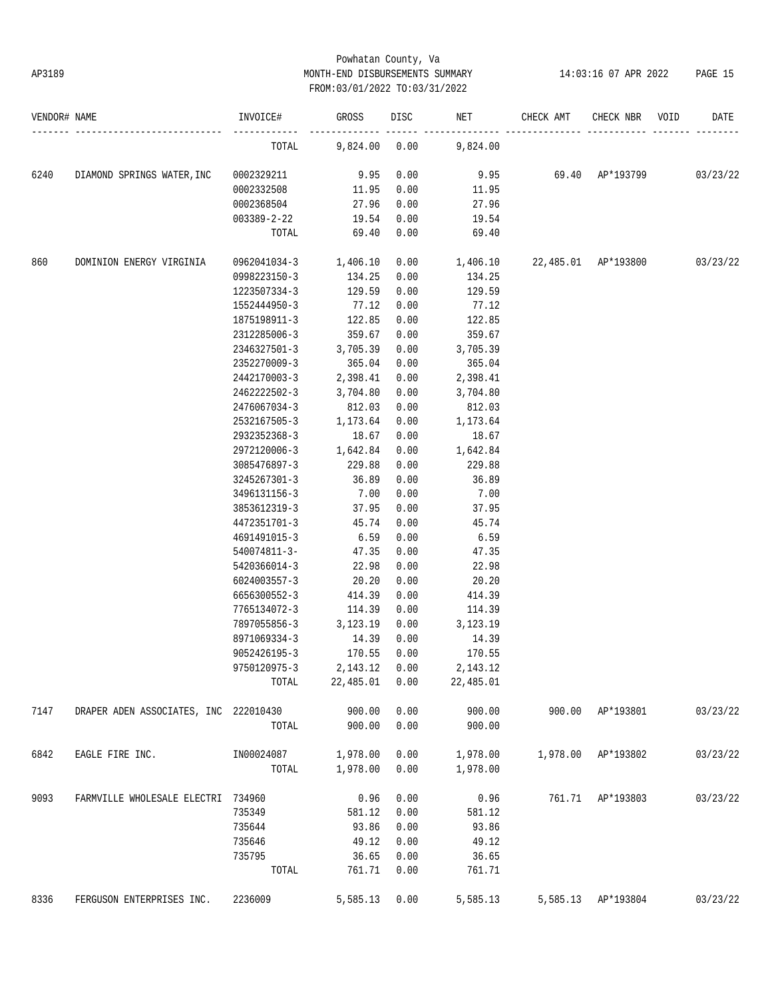# Powhatan County, Va AP3189 MONTH-END DISBURSEMENTS SUMMARY 14:03:16 07 APR 2022 PAGE 15 FROM:03/01/2022 TO:03/31/2022

| VENDOR# NAME |                                       | INVOICE#                                                    | GROSS          | DISC <sub>2</sub> | NET                    | CHECK AMT                       | CHECK NBR VOID     | DATE     |
|--------------|---------------------------------------|-------------------------------------------------------------|----------------|-------------------|------------------------|---------------------------------|--------------------|----------|
|              |                                       | TOTAL                                                       |                |                   | 9,824.00 0.00 9,824.00 |                                 |                    |          |
| 6240         | DIAMOND SPRINGS WATER, INC            | 0002329211                                                  | 9.95           | 0.00              |                        | 9.95 69.40 $AP*193799$ 03/23/22 |                    |          |
|              |                                       | 0002332508                                                  | 11.95          | 0.00              | 11.95                  |                                 |                    |          |
|              |                                       | 0002368504                                                  | 27.96          | 0.00              | 27.96                  |                                 |                    |          |
|              |                                       | 003389-2-22                                                 | 19.54          | 0.00              | 19.54                  |                                 |                    |          |
|              |                                       | TOTAL                                                       | 69.40          | 0.00              | 69.40                  |                                 |                    |          |
| 860          | DOMINION ENERGY VIRGINIA              | $0.0962041034-3$ 1,406.10 0.00 1,406.10 22,485.01 AP*193800 |                |                   |                        |                                 |                    | 03/23/22 |
|              |                                       | 0998223150-3 134.25                                         |                | 0.00              | 134.25                 |                                 |                    |          |
|              |                                       | 1223507334-3                                                | 129.59         | 0.00              | 129.59                 |                                 |                    |          |
|              |                                       | 1552444950-3                                                | 77.12          | 0.00              | 77.12                  |                                 |                    |          |
|              |                                       | 1875198911-3                                                | 122.85         | 0.00              | 122.85                 |                                 |                    |          |
|              |                                       | 2312285006-3 359.67                                         |                | 0.00              | 359.67                 |                                 |                    |          |
|              |                                       | 2346327501-3 3,705.39                                       |                | 0.00              | 3,705.39               |                                 |                    |          |
|              |                                       | 2352270009-3                                                | 365.04         | 0.00              | 365.04                 |                                 |                    |          |
|              |                                       | 2442170003-3 2,398.41                                       |                | 0.00              | 2,398.41               |                                 |                    |          |
|              |                                       | 2462222502-3 3,704.80                                       |                | 0.00              | 3,704.80               |                                 |                    |          |
|              |                                       | 2476067034-3                                                | 812.03         | 0.00              | 812.03                 |                                 |                    |          |
|              |                                       | 2532167505-3 1,173.64                                       |                | 0.00              | 1,173.64               |                                 |                    |          |
|              |                                       | 2932352368-3                                                | 18.67          | 0.00              | 18.67                  |                                 |                    |          |
|              |                                       | 2972120006-3 1,642.84                                       |                | 0.00              | 1,642.84               |                                 |                    |          |
|              |                                       | 3085476897-3                                                | 229.88         | 0.00              | 229.88                 |                                 |                    |          |
|              |                                       | 3245267301-3 36.89                                          |                | 0.00              | 36.89                  |                                 |                    |          |
|              |                                       | 3496131156-3 7.00                                           |                | 0.00              | 7.00                   |                                 |                    |          |
|              |                                       | 3853612319-3                                                | 37.95          | 0.00              | 37.95                  |                                 |                    |          |
|              |                                       | 4472351701-3                                                | 45.74          | 0.00              | 45.74                  |                                 |                    |          |
|              |                                       | 4691491015-3                                                | 6.59           | 0.00              | 6.59                   |                                 |                    |          |
|              |                                       | 540074811-3-                                                | 47.35          | 0.00              | 47.35                  |                                 |                    |          |
|              |                                       | 5420366014-3                                                | 22.98          | 0.00              | 22.98                  |                                 |                    |          |
|              |                                       | 6024003557-3                                                | 20.20          | 0.00              | 20.20                  |                                 |                    |          |
|              |                                       | 6656300552-3                                                | 414.39         | 0.00              | 414.39                 |                                 |                    |          |
|              |                                       | 7765134072-3                                                | 114.39         | 0.00              | 114.39                 |                                 |                    |          |
|              |                                       | 7897055856-3                                                | 3,123.19       | 0.00              | 3,123.19               |                                 |                    |          |
|              |                                       | 8971069334-3                                                | 14.39          | 0.00              | 14.39                  |                                 |                    |          |
|              |                                       | 9052426195-3                                                | 170.55         | 0.00              | 170.55                 |                                 |                    |          |
|              |                                       | 9750120975-3 2,143.12 0.00                                  |                |                   | 2, 143, 12             |                                 |                    |          |
|              |                                       | TOTAL                                                       | 22,485.01 0.00 |                   | 22,485.01              |                                 |                    |          |
| 7147         | DRAPER ADEN ASSOCIATES, INC 222010430 |                                                             | 900.00         | 0.00              | 900.00                 |                                 | 900.00 AP*193801   | 03/23/22 |
|              |                                       | TOTAL                                                       | 900.00         | 0.00              | 900.00                 |                                 |                    |          |
| 6842         | EAGLE FIRE INC.                       | IN00024087                                                  | 1,978.00       | 0.00              | 1,978.00               |                                 | 1,978.00 AP*193802 | 03/23/22 |
|              |                                       | TOTAL                                                       | 1,978.00       | 0.00              | 1,978.00               |                                 |                    |          |
| 9093         | FARMVILLE WHOLESALE ELECTRI 734960    |                                                             | 0.96           | 0.00              | 0.96                   |                                 | 761.71 AP*193803   | 03/23/22 |
|              |                                       | 735349                                                      | 581.12         | 0.00              | 581.12                 |                                 |                    |          |
|              |                                       | 735644                                                      | 93.86          | 0.00              | 93.86                  |                                 |                    |          |
|              |                                       | 735646                                                      | 49.12          | 0.00              | 49.12                  |                                 |                    |          |
|              |                                       | 735795                                                      | 36.65          | 0.00              | 36.65                  |                                 |                    |          |
|              |                                       | TOTAL                                                       | 761.71         | 0.00              | 761.71                 |                                 |                    |          |
| 8336         | FERGUSON ENTERPRISES INC.             | 2236009                                                     | 5,585.13       | 0.00              | 5,585.13               |                                 | 5,585.13 AP*193804 | 03/23/22 |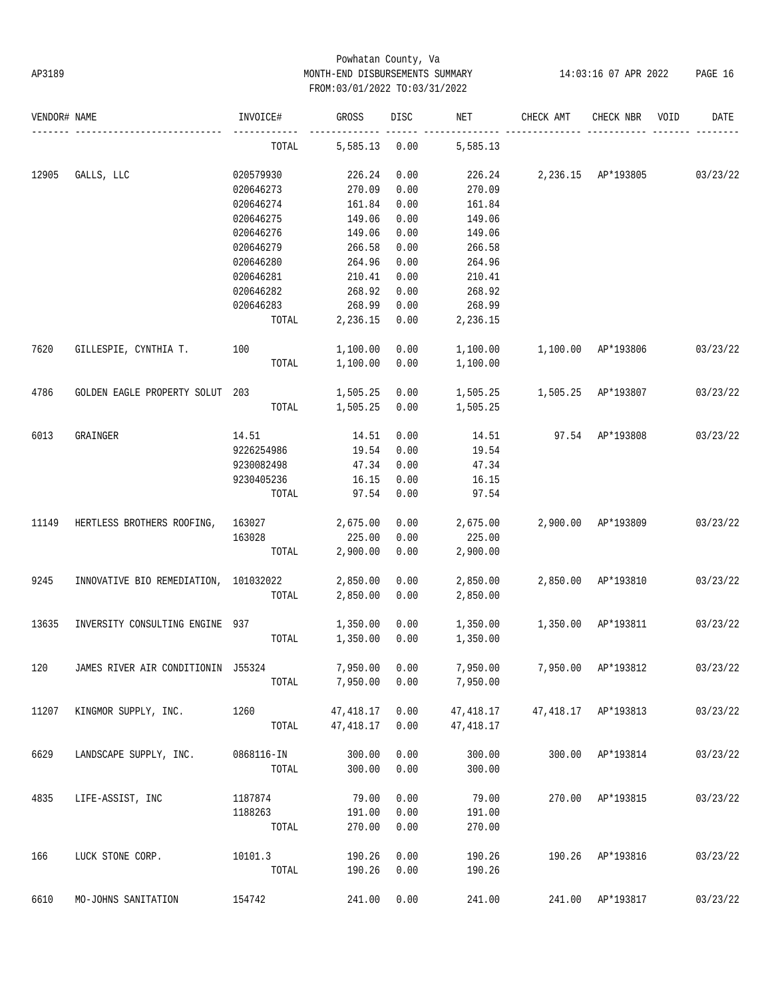# Powhatan County, Va AP3189 MONTH-END DISBURSEMENTS SUMMARY 14:03:16 07 APR 2022 PAGE 16 FROM:03/01/2022 TO:03/31/2022

| VENDOR# NAME |                                       | INVOICE#   | GROSS          | DISC | NET       | CHECK AMT           | CHECK NBR          | VOID | DATE     |
|--------------|---------------------------------------|------------|----------------|------|-----------|---------------------|--------------------|------|----------|
|              |                                       | TOTAL      | 5,585.13       | 0.00 | 5,585.13  |                     |                    |      |          |
| 12905        | GALLS, LLC                            | 020579930  | 226.24         | 0.00 | 226.24    |                     | 2,236.15 AP*193805 |      | 03/23/22 |
|              |                                       | 020646273  | 270.09         | 0.00 | 270.09    |                     |                    |      |          |
|              |                                       | 020646274  | 161.84         | 0.00 | 161.84    |                     |                    |      |          |
|              |                                       | 020646275  | 149.06         | 0.00 | 149.06    |                     |                    |      |          |
|              |                                       | 020646276  | 149.06         | 0.00 | 149.06    |                     |                    |      |          |
|              |                                       | 020646279  | 266.58         | 0.00 | 266.58    |                     |                    |      |          |
|              |                                       | 020646280  | 264.96         | 0.00 | 264.96    |                     |                    |      |          |
|              |                                       | 020646281  | 210.41         | 0.00 | 210.41    |                     |                    |      |          |
|              |                                       |            |                |      |           |                     |                    |      |          |
|              |                                       | 020646282  | 268.92         | 0.00 | 268.92    |                     |                    |      |          |
|              |                                       | 020646283  | 268.99         | 0.00 | 268.99    |                     |                    |      |          |
|              |                                       | TOTAL      | 2,236.15       | 0.00 | 2,236.15  |                     |                    |      |          |
| 7620         | GILLESPIE, CYNTHIA T.                 | 100        | 1,100.00       | 0.00 | 1,100.00  |                     | 1,100.00 AP*193806 |      | 03/23/22 |
|              |                                       | TOTAL      | 1,100.00       | 0.00 | 1,100.00  |                     |                    |      |          |
| 4786         | GOLDEN EAGLE PROPERTY SOLUT 203       |            | 1,505.25       | 0.00 | 1,505.25  | 1,505.25 AP*193807  |                    |      | 03/23/22 |
|              |                                       | TOTAL      | 1,505.25       | 0.00 | 1,505.25  |                     |                    |      |          |
| 6013         | GRAINGER                              | 14.51      | 14.51          | 0.00 | 14.51     |                     | 97.54 AP*193808    |      | 03/23/22 |
|              |                                       | 9226254986 | 19.54          | 0.00 | 19.54     |                     |                    |      |          |
|              |                                       |            | 47.34          |      |           |                     |                    |      |          |
|              |                                       | 9230082498 |                | 0.00 | 47.34     |                     |                    |      |          |
|              |                                       | 9230405236 | 16.15          | 0.00 | 16.15     |                     |                    |      |          |
|              |                                       | TOTAL      | 97.54          | 0.00 | 97.54     |                     |                    |      |          |
| 11149        | HERTLESS BROTHERS ROOFING,            | 163027     | 2,675.00       | 0.00 | 2,675.00  |                     | 2,900.00 AP*193809 |      | 03/23/22 |
|              |                                       | 163028     | 225.00         | 0.00 | 225.00    |                     |                    |      |          |
|              |                                       | TOTAL      | 2,900.00       | 0.00 | 2,900.00  |                     |                    |      |          |
| 9245         | INNOVATIVE BIO REMEDIATION, 101032022 |            | 2,850.00       | 0.00 | 2,850.00  |                     | 2,850.00 AP*193810 |      | 03/23/22 |
|              |                                       | TOTAL      | 2,850.00       | 0.00 | 2,850.00  |                     |                    |      |          |
| 13635        | INVERSITY CONSULTING ENGINE           | 937        | 1,350.00       | 0.00 | 1,350.00  |                     | 1,350.00 AP*193811 |      | 03/23/22 |
|              |                                       | TOTAL      | 1,350.00       | 0.00 | 1,350.00  |                     |                    |      |          |
|              |                                       |            |                |      |           |                     |                    |      |          |
| 120          | JAMES RIVER AIR CONDITIONIN J55324    |            | 7,950.00 0.00  |      | 7,950.00  |                     | 7,950.00 AP*193812 |      | 03/23/22 |
|              |                                       | TOTAL      | 7,950.00       | 0.00 | 7,950.00  |                     |                    |      |          |
| 11207        | KINGMOR SUPPLY, INC.                  | 1260       | 47,418.17      | 0.00 | 47,418.17 | 47,418.17 AP*193813 |                    |      | 03/23/22 |
|              |                                       | TOTAL      | 47,418.17 0.00 |      | 47,418.17 |                     |                    |      |          |
| 6629         | LANDSCAPE SUPPLY, INC.                | 0868116-IN | 300.00         | 0.00 | 300.00    |                     | 300.00 AP*193814   |      | 03/23/22 |
|              |                                       | TOTAL      | 300.00         | 0.00 | 300.00    |                     |                    |      |          |
|              |                                       |            |                |      |           |                     |                    |      |          |
| 4835         | LIFE-ASSIST, INC                      | 1187874    | 79.00          | 0.00 | 79.00     |                     | 270.00 AP*193815   |      | 03/23/22 |
|              |                                       | 1188263    | 191.00         | 0.00 | 191.00    |                     |                    |      |          |
|              |                                       | TOTAL      | 270.00         | 0.00 | 270.00    |                     |                    |      |          |
| 166          | LUCK STONE CORP.                      | 10101.3    | 190.26         | 0.00 | 190.26    |                     | 190.26 AP*193816   |      | 03/23/22 |
|              |                                       | TOTAL      | 190.26         | 0.00 | 190.26    |                     |                    |      |          |
| 6610         | MO-JOHNS SANITATION                   | 154742     | 241.00         | 0.00 | 241.00    |                     | 241.00 AP*193817   |      | 03/23/22 |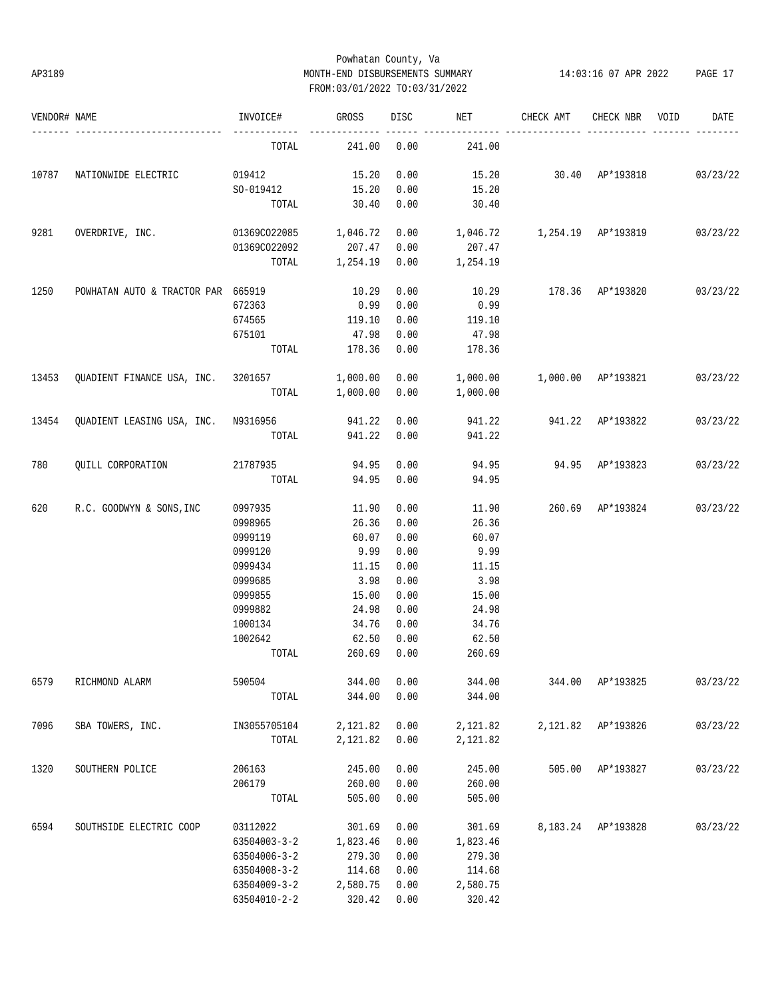# Powhatan County, Va AP3189 MONTH-END DISBURSEMENTS SUMMARY 14:03:16 07 APR 2022 PAGE 17 FROM:03/01/2022 TO:03/31/2022

| VENDOR# NAME |                                                  | INVOICE#                   | GROSS               | DISC | NET                                        | CHECK AMT               | CHECK NBR          | VOID | DATE     |
|--------------|--------------------------------------------------|----------------------------|---------------------|------|--------------------------------------------|-------------------------|--------------------|------|----------|
|              |                                                  | TOTAL                      | 241.00              | 0.00 | 241.00                                     |                         |                    |      |          |
|              | 10787 NATIONWIDE ELECTRIC                        | 019412                     | 15.20               | 0.00 | 15.20 30.40 AP*193818                      |                         |                    |      | 03/23/22 |
|              |                                                  | SO-019412 15.20            |                     | 0.00 | 15.20                                      |                         |                    |      |          |
|              |                                                  |                            | TOTAL 30.40         | 0.00 | 30.40                                      |                         |                    |      |          |
| 9281         | OVERDRIVE, INC.                                  | 01369CO22085 1,046.72 0.00 |                     |      | 1,046.72   1,254.19   AP*193819   03/23/22 |                         |                    |      |          |
|              |                                                  | 01369CO22092               | 207.47              | 0.00 | 207.47                                     |                         |                    |      |          |
|              |                                                  |                            | TOTAL 1,254.19 0.00 |      | 1,254.19                                   |                         |                    |      |          |
| 1250         | POWHATAN AUTO & TRACTOR PAR 665919               |                            | 10.29               | 0.00 |                                            | 10.29 178.36 AP*193820  |                    |      | 03/23/22 |
|              |                                                  | 672363                     | 0.99                | 0.00 | 0.99                                       |                         |                    |      |          |
|              |                                                  | 674565                     | 119.10              | 0.00 | 119.10                                     |                         |                    |      |          |
|              |                                                  | 675101                     | 47.98               | 0.00 | 47.98                                      |                         |                    |      |          |
|              |                                                  |                            | TOTAL 178.36 0.00   |      | 178.36                                     |                         |                    |      |          |
| 13453        | QUADIENT FINANCE USA, INC. 3201657 1,000.00 0.00 |                            |                     |      | 1,000.00   1,000.00   AP*193821   03/23/22 |                         |                    |      |          |
|              |                                                  |                            |                     |      | TOTAL 1,000.00 0.00 1,000.00               |                         |                    |      |          |
|              | 13454 QUADIENT LEASING USA, INC. N9316956        |                            | 941.22 0.00         |      |                                            | 941.22 941.22 AP*193822 |                    |      | 03/23/22 |
|              |                                                  | TOTAL                      | 941.22 0.00         |      | 941.22                                     |                         |                    |      |          |
| 780          | QUILL CORPORATION                                | 21787935                   | 94.95               | 0.00 |                                            | 94.95 94.95 AP*193823   |                    |      | 03/23/22 |
|              |                                                  | TOTAL                      | 94.95               | 0.00 | 94.95                                      |                         |                    |      |          |
| 620          | R.C. GOODWYN & SONS, INC                         | 0997935                    | 11.90               | 0.00 | 11.90                                      | 260.69 AP*193824        |                    |      | 03/23/22 |
|              |                                                  | 0998965                    | 26.36               | 0.00 | 26.36                                      |                         |                    |      |          |
|              |                                                  | 0999119                    | 60.07               | 0.00 | 60.07                                      |                         |                    |      |          |
|              |                                                  | 0999120                    | 9.99                | 0.00 | 9.99                                       |                         |                    |      |          |
|              |                                                  | 0999434                    | 11.15               | 0.00 | 11.15                                      |                         |                    |      |          |
|              |                                                  | 0999685                    | 3.98                | 0.00 | 3.98                                       |                         |                    |      |          |
|              |                                                  | 0999855                    | 15.00               | 0.00 | 15.00                                      |                         |                    |      |          |
|              |                                                  | 0999882                    | 24.98               | 0.00 | 24.98                                      |                         |                    |      |          |
|              |                                                  | 1000134                    | 34.76               | 0.00 | 34.76                                      |                         |                    |      |          |
|              |                                                  | 1002642                    | 62.50               | 0.00 | 62.50                                      |                         |                    |      |          |
|              |                                                  | TOTAL                      | 260.69 0.00         |      | 260.69                                     |                         |                    |      |          |
| 6579         | RICHMOND ALARM                                   | 590504                     | 344.00              | 0.00 | 344.00                                     |                         | 344.00 AP*193825   |      | 03/23/22 |
|              |                                                  | TOTAL                      | 344.00              | 0.00 | 344.00                                     |                         |                    |      |          |
| 7096         | SBA TOWERS, INC.                                 | IN3055705104               | 2,121.82            | 0.00 | 2,121.82                                   |                         | 2,121.82 AP*193826 |      | 03/23/22 |
|              |                                                  | TOTAL                      | 2,121.82            | 0.00 | 2,121.82                                   |                         |                    |      |          |
| 1320         | SOUTHERN POLICE                                  | 206163                     | 245.00              | 0.00 | 245.00                                     |                         | 505.00 AP*193827   |      | 03/23/22 |
|              |                                                  | 206179                     | 260.00              | 0.00 | 260.00                                     |                         |                    |      |          |
|              |                                                  | TOTAL                      | 505.00              | 0.00 | 505.00                                     |                         |                    |      |          |
| 6594         | SOUTHSIDE ELECTRIC COOP                          | 03112022                   | 301.69              | 0.00 | 301.69                                     |                         | 8,183.24 AP*193828 |      | 03/23/22 |
|              |                                                  | $63504003 - 3 - 2$         | 1,823.46            | 0.00 | 1,823.46                                   |                         |                    |      |          |
|              |                                                  | $63504006 - 3 - 2$         | 279.30              | 0.00 | 279.30                                     |                         |                    |      |          |
|              |                                                  | $63504008 - 3 - 2$         | 114.68              | 0.00 | 114.68                                     |                         |                    |      |          |
|              |                                                  | $63504009 - 3 - 2$         | 2,580.75            | 0.00 | 2,580.75                                   |                         |                    |      |          |
|              |                                                  | 63504010-2-2               | 320.42              | 0.00 | 320.42                                     |                         |                    |      |          |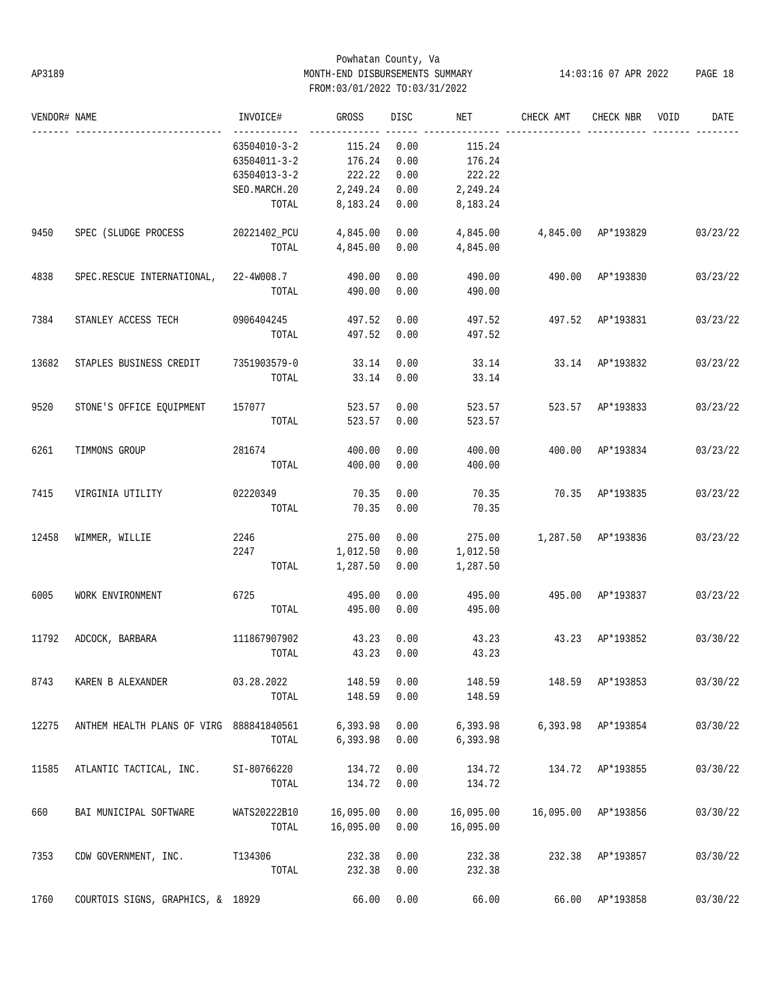# Powhatan County, Va AP3189 MONTH-END DISBURSEMENTS SUMMARY 14:03:16 07 APR 2022 PAGE 18 FROM:03/01/2022 TO:03/31/2022

| VENDOR# NAME |                                          | INVOICE#           | GROSS     | DISC | NET       | CHECK AMT          | CHECK NBR        | VOID | DATE     |
|--------------|------------------------------------------|--------------------|-----------|------|-----------|--------------------|------------------|------|----------|
|              |                                          | 63504010-3-2       | 115.24    | 0.00 | 115.24    |                    |                  |      |          |
|              |                                          | 63504011-3-2       | 176.24    | 0.00 | 176.24    |                    |                  |      |          |
|              |                                          | $63504013 - 3 - 2$ | 222.22    | 0.00 | 222.22    |                    |                  |      |          |
|              |                                          | SEO.MARCH.20       | 2,249.24  | 0.00 | 2,249.24  |                    |                  |      |          |
|              |                                          | TOTAL              | 8,183.24  | 0.00 | 8,183.24  |                    |                  |      |          |
| 9450         | SPEC (SLUDGE PROCESS                     | 20221402_PCU       | 4,845.00  | 0.00 | 4,845.00  | 4,845.00 AP*193829 |                  |      | 03/23/22 |
|              |                                          | TOTAL              | 4,845.00  | 0.00 | 4,845.00  |                    |                  |      |          |
| 4838         | SPEC.RESCUE INTERNATIONAL,               | 22-4W008.7         | 490.00    | 0.00 | 490.00    |                    | 490.00 AP*193830 |      | 03/23/22 |
|              |                                          | TOTAL              | 490.00    | 0.00 | 490.00    |                    |                  |      |          |
| 7384         | STANLEY ACCESS TECH                      | 0906404245         | 497.52    | 0.00 | 497.52    |                    | 497.52 AP*193831 |      | 03/23/22 |
|              |                                          | TOTAL              | 497.52    | 0.00 | 497.52    |                    |                  |      |          |
| 13682        | STAPLES BUSINESS CREDIT                  | 7351903579-0       | 33.14     | 0.00 | 33.14     |                    | 33.14 AP*193832  |      | 03/23/22 |
|              |                                          | TOTAL              | 33.14     | 0.00 | 33.14     |                    |                  |      |          |
| 9520         | STONE'S OFFICE EQUIPMENT                 | 157077             | 523.57    | 0.00 | 523.57    |                    | 523.57 AP*193833 |      | 03/23/22 |
|              |                                          | TOTAL              | 523.57    | 0.00 | 523.57    |                    |                  |      |          |
| 6261         | TIMMONS GROUP                            | 281674             | 400.00    | 0.00 | 400.00    |                    | 400.00 AP*193834 |      | 03/23/22 |
|              |                                          | TOTAL              | 400.00    | 0.00 | 400.00    |                    |                  |      |          |
| 7415         | VIRGINIA UTILITY                         | 02220349           | 70.35     | 0.00 | 70.35     |                    | 70.35 AP*193835  |      | 03/23/22 |
|              |                                          | TOTAL              | 70.35     | 0.00 | 70.35     |                    |                  |      |          |
| 12458        | WIMMER, WILLIE                           | 2246               | 275.00    | 0.00 | 275.00    | 1,287.50 AP*193836 |                  |      | 03/23/22 |
|              |                                          | 2247               | 1,012.50  | 0.00 | 1,012.50  |                    |                  |      |          |
|              |                                          | TOTAL              | 1,287.50  | 0.00 | 1,287.50  |                    |                  |      |          |
| 6005         | WORK ENVIRONMENT                         | 6725               | 495.00    | 0.00 | 495.00    |                    | 495.00 AP*193837 |      | 03/23/22 |
|              |                                          | TOTAL              | 495.00    | 0.00 | 495.00    |                    |                  |      |          |
| 11792        | ADCOCK, BARBARA                          | 111867907902       | 43.23     | 0.00 | 43.23     |                    | 43.23 AP*193852  |      | 03/30/22 |
|              |                                          | TOTAL              | 43.23     | 0.00 | 43.23     |                    |                  |      |          |
| 8743         | KAREN B ALEXANDER                        | 03.28.2022         | 148.59    | 0.00 | 148.59    | 148.59             | AP*193853        |      | 03/30/22 |
|              |                                          | TOTAL              | 148.59    | 0.00 | 148.59    |                    |                  |      |          |
| 12275        | ANTHEM HEALTH PLANS OF VIRG 888841840561 |                    | 6,393.98  | 0.00 | 6,393.98  | 6,393.98           | AP*193854        |      | 03/30/22 |
|              |                                          | TOTAL              | 6,393.98  | 0.00 | 6,393.98  |                    |                  |      |          |
| 11585        | ATLANTIC TACTICAL, INC.                  | SI-80766220        | 134.72    | 0.00 | 134.72    |                    | 134.72 AP*193855 |      | 03/30/22 |
|              |                                          | TOTAL              | 134.72    | 0.00 | 134.72    |                    |                  |      |          |
| 660          | BAI MUNICIPAL SOFTWARE                   | WATS20222B10       | 16,095.00 | 0.00 | 16,095.00 | 16,095.00          | AP*193856        |      | 03/30/22 |
|              |                                          | TOTAL              | 16,095.00 | 0.00 | 16,095.00 |                    |                  |      |          |
| 7353         | CDW GOVERNMENT, INC.                     | T134306            | 232.38    | 0.00 | 232.38    | 232.38             | AP*193857        |      | 03/30/22 |
|              |                                          | TOTAL              | 232.38    | 0.00 | 232.38    |                    |                  |      |          |
| 1760         | COURTOIS SIGNS, GRAPHICS, & 18929        |                    | 66.00     | 0.00 | 66.00     | 66.00              | AP*193858        |      | 03/30/22 |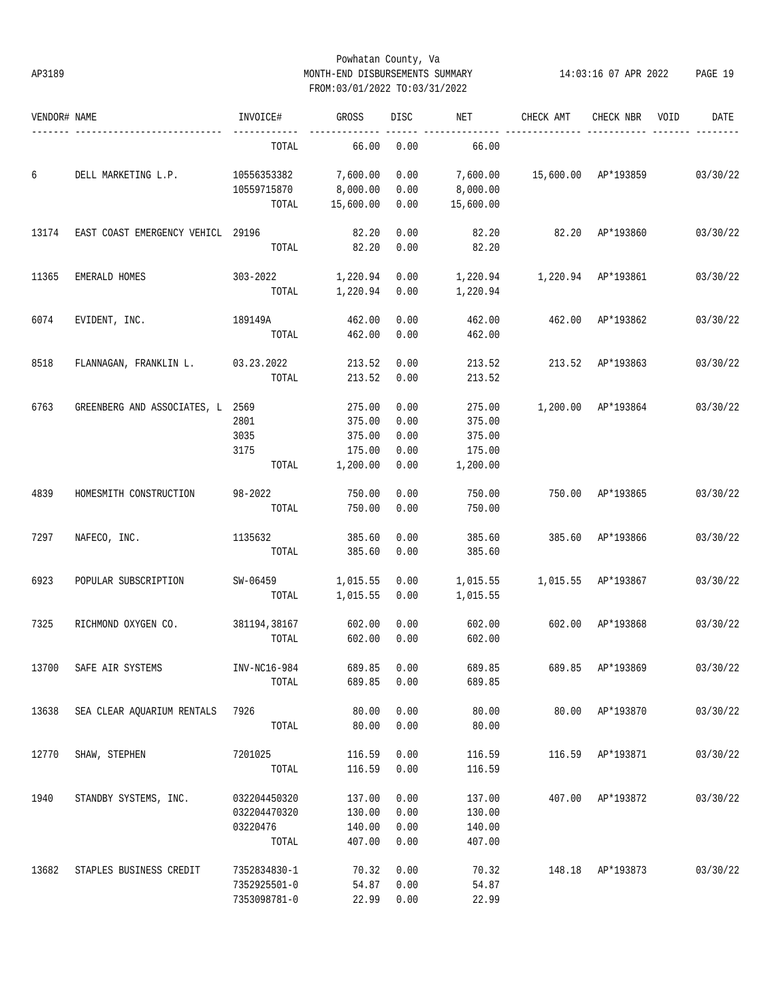# Powhatan County, Va AP3189 MONTH-END DISBURSEMENTS SUMMARY 14:03:16 07 APR 2022 PAGE 19 FROM:03/01/2022 TO:03/31/2022

| VENDOR# NAME |                                   | INVOICE#     | GROSS     | DISC | NET       | CHECK AMT | CHECK NBR           | VOID | DATE     |
|--------------|-----------------------------------|--------------|-----------|------|-----------|-----------|---------------------|------|----------|
|              |                                   | TOTAL        | 66.00     | 0.00 | 66.00     |           |                     |      |          |
| б            | DELL MARKETING L.P.               | 10556353382  | 7,600.00  | 0.00 | 7,600.00  |           | 15,600.00 AP*193859 |      | 03/30/22 |
|              |                                   | 10559715870  | 8,000.00  | 0.00 | 8,000.00  |           |                     |      |          |
|              |                                   | TOTAL        | 15,600.00 | 0.00 | 15,600.00 |           |                     |      |          |
| 13174        | EAST COAST EMERGENCY VEHICL 29196 |              | 82.20     | 0.00 | 82.20     | 82.20     | AP*193860           |      | 03/30/22 |
|              |                                   | TOTAL        | 82.20     | 0.00 | 82.20     |           |                     |      |          |
| 11365        | EMERALD HOMES                     | $303 - 2022$ | 1,220.94  | 0.00 | 1,220.94  |           | 1,220.94 AP*193861  |      | 03/30/22 |
|              |                                   | TOTAL        | 1,220.94  | 0.00 | 1,220.94  |           |                     |      |          |
| 6074         | EVIDENT, INC.                     | 189149A      | 462.00    | 0.00 | 462.00    | 462.00    | AP*193862           |      | 03/30/22 |
|              |                                   | TOTAL        | 462.00    | 0.00 | 462.00    |           |                     |      |          |
| 8518         | FLANNAGAN, FRANKLIN L.            | 03.23.2022   | 213.52    | 0.00 | 213.52    | 213.52    | AP*193863           |      | 03/30/22 |
|              |                                   | TOTAL        | 213.52    | 0.00 | 213.52    |           |                     |      |          |
| 6763         | GREENBERG AND ASSOCIATES, L 2569  |              | 275.00    | 0.00 | 275.00    |           | 1,200.00 AP*193864  |      | 03/30/22 |
|              |                                   | 2801         | 375.00    | 0.00 | 375.00    |           |                     |      |          |
|              |                                   | 3035         | 375.00    | 0.00 | 375.00    |           |                     |      |          |
|              |                                   | 3175         | 175.00    | 0.00 | 175.00    |           |                     |      |          |
|              |                                   | TOTAL        | 1,200.00  | 0.00 | 1,200.00  |           |                     |      |          |
| 4839         | HOMESMITH CONSTRUCTION            | 98-2022      | 750.00    | 0.00 | 750.00    | 750.00    | AP*193865           |      | 03/30/22 |
|              |                                   | TOTAL        | 750.00    | 0.00 | 750.00    |           |                     |      |          |
| 7297         | NAFECO, INC.                      | 1135632      | 385.60    | 0.00 | 385.60    | 385.60    | AP*193866           |      | 03/30/22 |
|              |                                   | TOTAL        | 385.60    | 0.00 | 385.60    |           |                     |      |          |
| 6923         | POPULAR SUBSCRIPTION              | SW-06459     | 1,015.55  | 0.00 | 1,015.55  |           | 1,015.55 AP*193867  |      | 03/30/22 |
|              |                                   | TOTAL        | 1,015.55  | 0.00 | 1,015.55  |           |                     |      |          |
| 7325         | RICHMOND OXYGEN CO.               | 381194,38167 | 602.00    | 0.00 | 602.00    | 602.00    | AP*193868           |      | 03/30/22 |
|              |                                   | TOTAL        | 602.00    | 0.00 | 602.00    |           |                     |      |          |
| 13700        | SAFE AIR SYSTEMS                  | INV-NC16-984 | 689.85    | 0.00 | 689.85    | 689.85    | AP*193869           |      | 03/30/22 |
|              |                                   | TOTAL        | 689.85    | 0.00 | 689.85    |           |                     |      |          |
| 13638        | SEA CLEAR AOUARIUM RENTALS        | 7926         | 80.00     | 0.00 | 80.00     |           | 80.00 AP*193870     |      | 03/30/22 |
|              |                                   | TOTAL        | 80.00     | 0.00 | 80.00     |           |                     |      |          |
| 12770        | SHAW, STEPHEN                     | 7201025      | 116.59    | 0.00 | 116.59    | 116.59    | AP*193871           |      | 03/30/22 |
|              |                                   | TOTAL        | 116.59    | 0.00 | 116.59    |           |                     |      |          |
| 1940         | STANDBY SYSTEMS, INC.             | 032204450320 | 137.00    | 0.00 | 137.00    |           | 407.00 AP*193872    |      | 03/30/22 |
|              |                                   | 032204470320 | 130.00    | 0.00 | 130.00    |           |                     |      |          |
|              |                                   | 03220476     | 140.00    | 0.00 | 140.00    |           |                     |      |          |
|              |                                   | TOTAL        | 407.00    | 0.00 | 407.00    |           |                     |      |          |
| 13682        | STAPLES BUSINESS CREDIT           | 7352834830-1 | 70.32     | 0.00 | 70.32     |           | 148.18 AP*193873    |      | 03/30/22 |
|              |                                   | 7352925501-0 | 54.87     | 0.00 | 54.87     |           |                     |      |          |
|              |                                   | 7353098781-0 | 22.99     | 0.00 | 22.99     |           |                     |      |          |